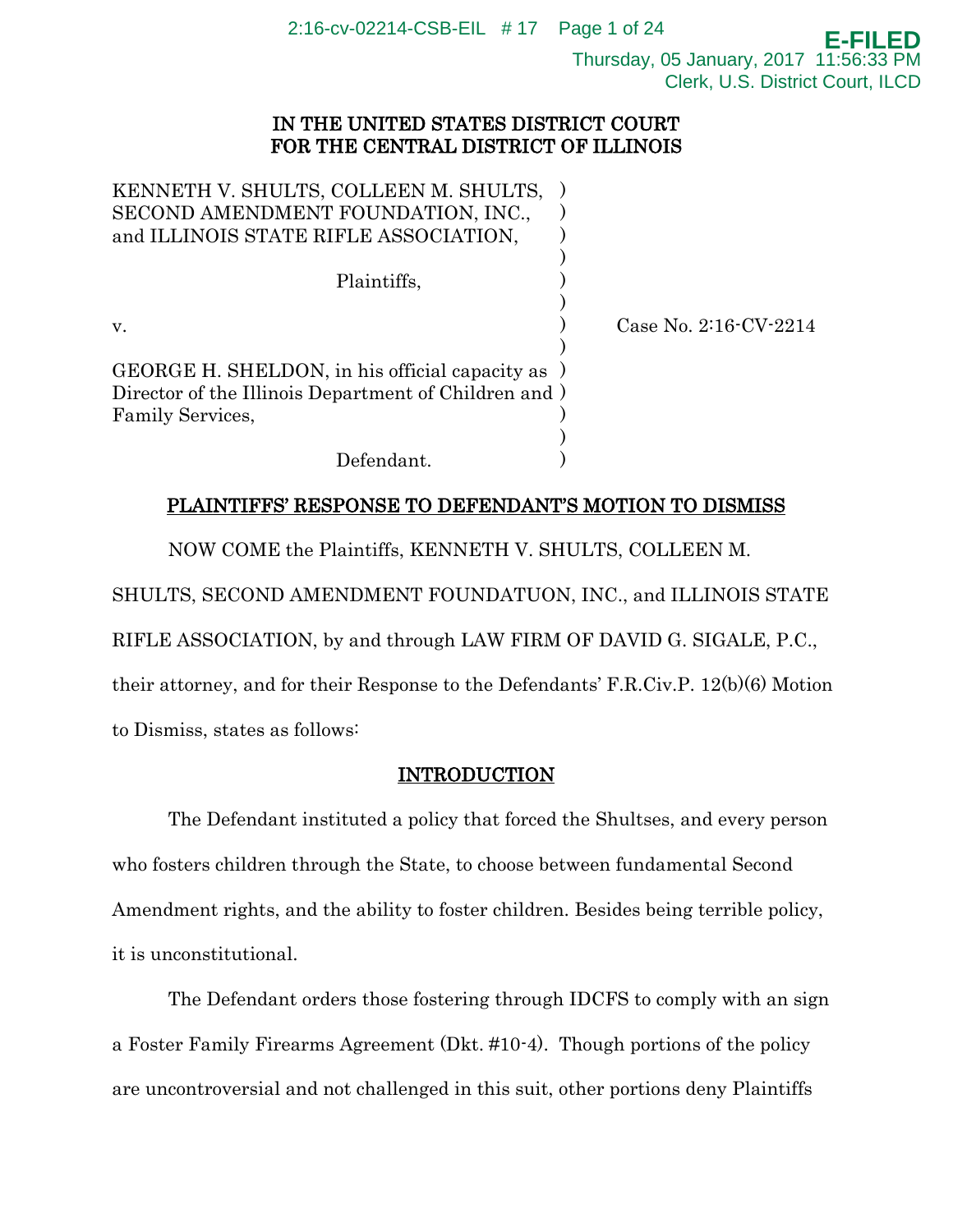2:16-cv-02214-CSB-EIL # 17 Page 1 of 24

**E-FILED** Thursday, 05 January, 2017 11:56:33 PM Clerk, U.S. District Court, ILCD

## IN THE UNITED STATES DISTRICT COURT FOR THE CENTRAL DISTRICT OF ILLINOIS

| KENNETH V. SHULTS, COLLEEN M. SHULTS,<br>SECOND AMENDMENT FOUNDATION, INC.,<br>and ILLINOIS STATE RIFLE ASSOCIATION,          |                            |
|-------------------------------------------------------------------------------------------------------------------------------|----------------------------|
| Plaintiffs,                                                                                                                   |                            |
| V.                                                                                                                            | Case No. $2:16$ CV $-2214$ |
| GEORGE H. SHELDON, in his official capacity as )<br>Director of the Illinois Department of Children and )<br>Family Services, |                            |
| Defendant.                                                                                                                    |                            |

## PLAINTIFFS' RESPONSE TO DEFENDANT'S MOTION TO DISMISS

NOW COME the Plaintiffs, KENNETH V. SHULTS, COLLEEN M.

SHULTS, SECOND AMENDMENT FOUNDATUON, INC., and ILLINOIS STATE

RIFLE ASSOCIATION, by and through LAW FIRM OF DAVID G. SIGALE, P.C.,

their attorney, and for their Response to the Defendants' F.R.Civ.P. 12(b)(6) Motion to Dismiss, states as follows:

# INTRODUCTION

The Defendant instituted a policy that forced the Shultses, and every person who fosters children through the State, to choose between fundamental Second Amendment rights, and the ability to foster children. Besides being terrible policy, it is unconstitutional.

The Defendant orders those fostering through IDCFS to comply with an sign a Foster Family Firearms Agreement (Dkt. #10-4). Though portions of the policy are uncontroversial and not challenged in this suit, other portions deny Plaintiffs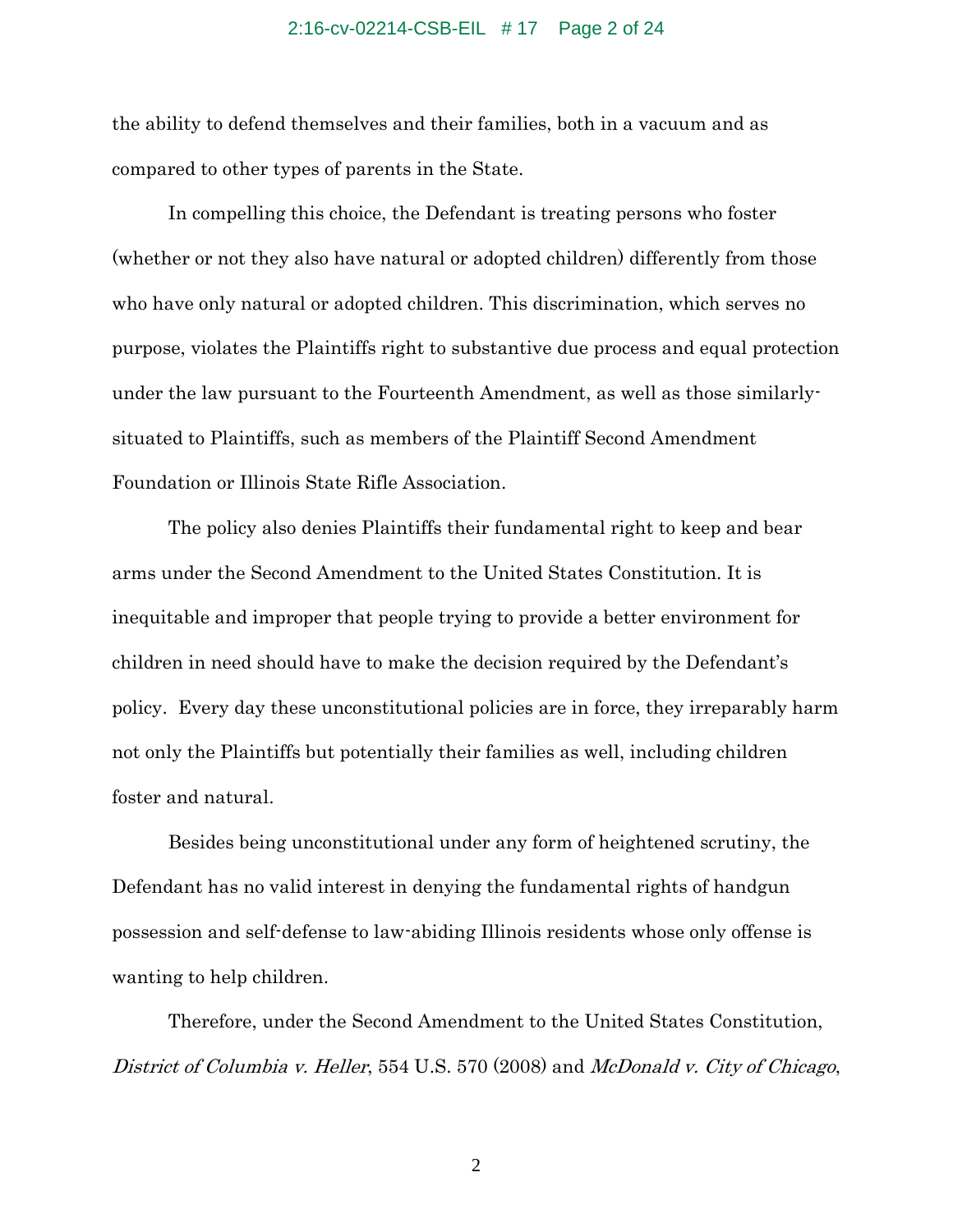## 2:16-cv-02214-CSB-EIL # 17 Page 2 of 24

the ability to defend themselves and their families, both in a vacuum and as compared to other types of parents in the State.

In compelling this choice, the Defendant is treating persons who foster (whether or not they also have natural or adopted children) differently from those who have only natural or adopted children. This discrimination, which serves no purpose, violates the Plaintiffs right to substantive due process and equal protection under the law pursuant to the Fourteenth Amendment, as well as those similarlysituated to Plaintiffs, such as members of the Plaintiff Second Amendment Foundation or Illinois State Rifle Association.

The policy also denies Plaintiffs their fundamental right to keep and bear arms under the Second Amendment to the United States Constitution. It is inequitable and improper that people trying to provide a better environment for children in need should have to make the decision required by the Defendant's policy. Every day these unconstitutional policies are in force, they irreparably harm not only the Plaintiffs but potentially their families as well, including children foster and natural.

Besides being unconstitutional under any form of heightened scrutiny, the Defendant has no valid interest in denying the fundamental rights of handgun possession and self-defense to law-abiding Illinois residents whose only offense is wanting to help children.

Therefore, under the Second Amendment to the United States Constitution, District of Columbia v. Heller, 554 U.S. 570 (2008) and McDonald v. City of Chicago,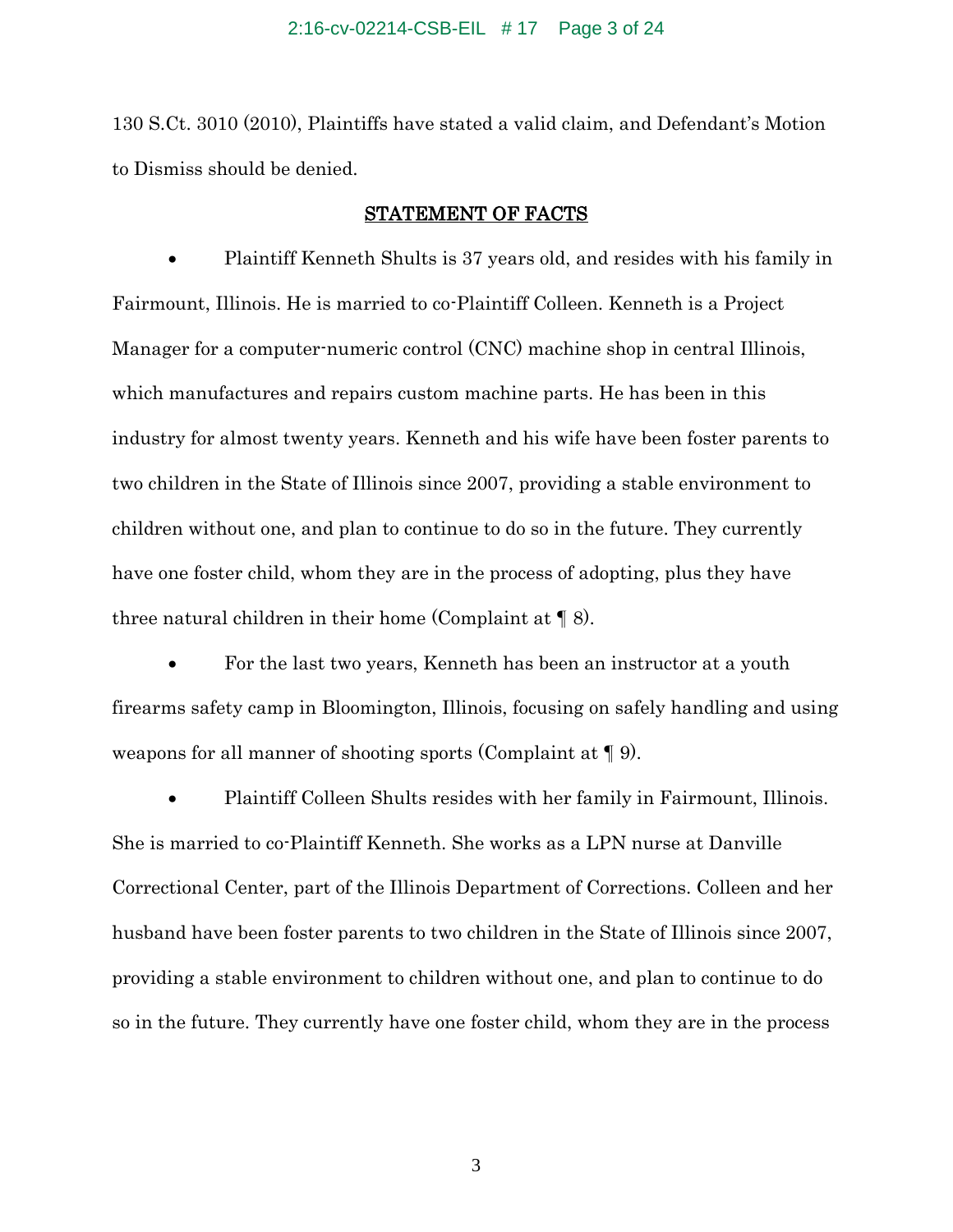#### 2:16-cv-02214-CSB-EIL # 17 Page 3 of 24

130 S.Ct. 3010 (2010), Plaintiffs have stated a valid claim, and Defendant's Motion to Dismiss should be denied.

### STATEMENT OF FACTS

 Plaintiff Kenneth Shults is 37 years old, and resides with his family in Fairmount, Illinois. He is married to co-Plaintiff Colleen. Kenneth is a Project Manager for a computer-numeric control (CNC) machine shop in central Illinois, which manufactures and repairs custom machine parts. He has been in this industry for almost twenty years. Kenneth and his wife have been foster parents to two children in the State of Illinois since 2007, providing a stable environment to children without one, and plan to continue to do so in the future. They currently have one foster child, whom they are in the process of adopting, plus they have three natural children in their home (Complaint at  $\P$  8).

 For the last two years, Kenneth has been an instructor at a youth firearms safety camp in Bloomington, Illinois, focusing on safely handling and using weapons for all manner of shooting sports (Complaint at ¶ 9).

 Plaintiff Colleen Shults resides with her family in Fairmount, Illinois. She is married to co-Plaintiff Kenneth. She works as a LPN nurse at Danville Correctional Center, part of the Illinois Department of Corrections. Colleen and her husband have been foster parents to two children in the State of Illinois since 2007, providing a stable environment to children without one, and plan to continue to do so in the future. They currently have one foster child, whom they are in the process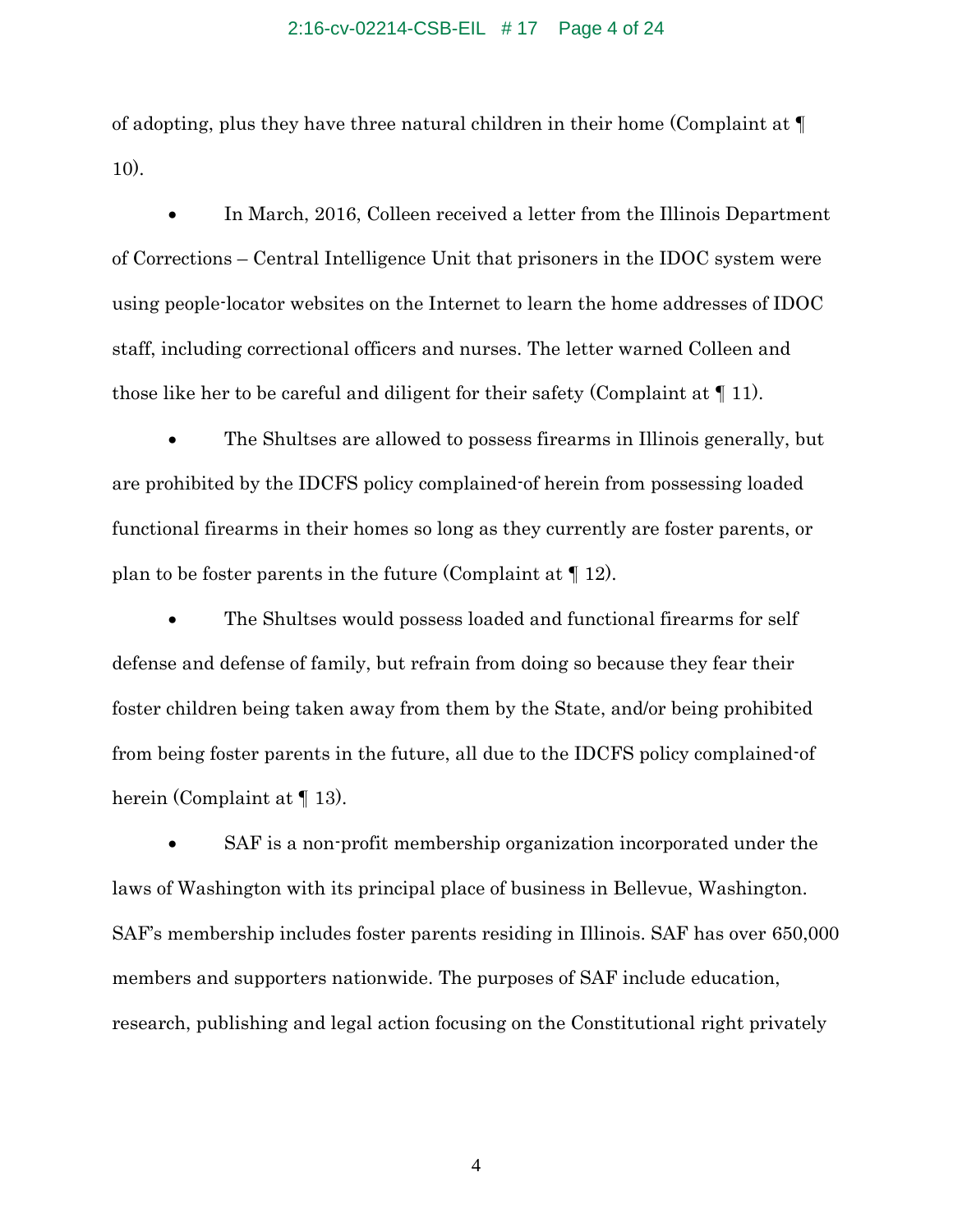#### 2:16-cv-02214-CSB-EIL # 17 Page 4 of 24

of adopting, plus they have three natural children in their home (Complaint at ¶ 10).

• In March, 2016, Colleen received a letter from the Illinois Department of Corrections – Central Intelligence Unit that prisoners in the IDOC system were using people-locator websites on the Internet to learn the home addresses of IDOC staff, including correctional officers and nurses. The letter warned Colleen and those like her to be careful and diligent for their safety (Complaint at ¶ 11).

 The Shultses are allowed to possess firearms in Illinois generally, but are prohibited by the IDCFS policy complained-of herein from possessing loaded functional firearms in their homes so long as they currently are foster parents, or plan to be foster parents in the future (Complaint at ¶ 12).

 The Shultses would possess loaded and functional firearms for self defense and defense of family, but refrain from doing so because they fear their foster children being taken away from them by the State, and/or being prohibited from being foster parents in the future, all due to the IDCFS policy complained-of herein (Complaint at  $\P$  13).

 SAF is a non-profit membership organization incorporated under the laws of Washington with its principal place of business in Bellevue, Washington. SAF's membership includes foster parents residing in Illinois. SAF has over 650,000 members and supporters nationwide. The purposes of SAF include education, research, publishing and legal action focusing on the Constitutional right privately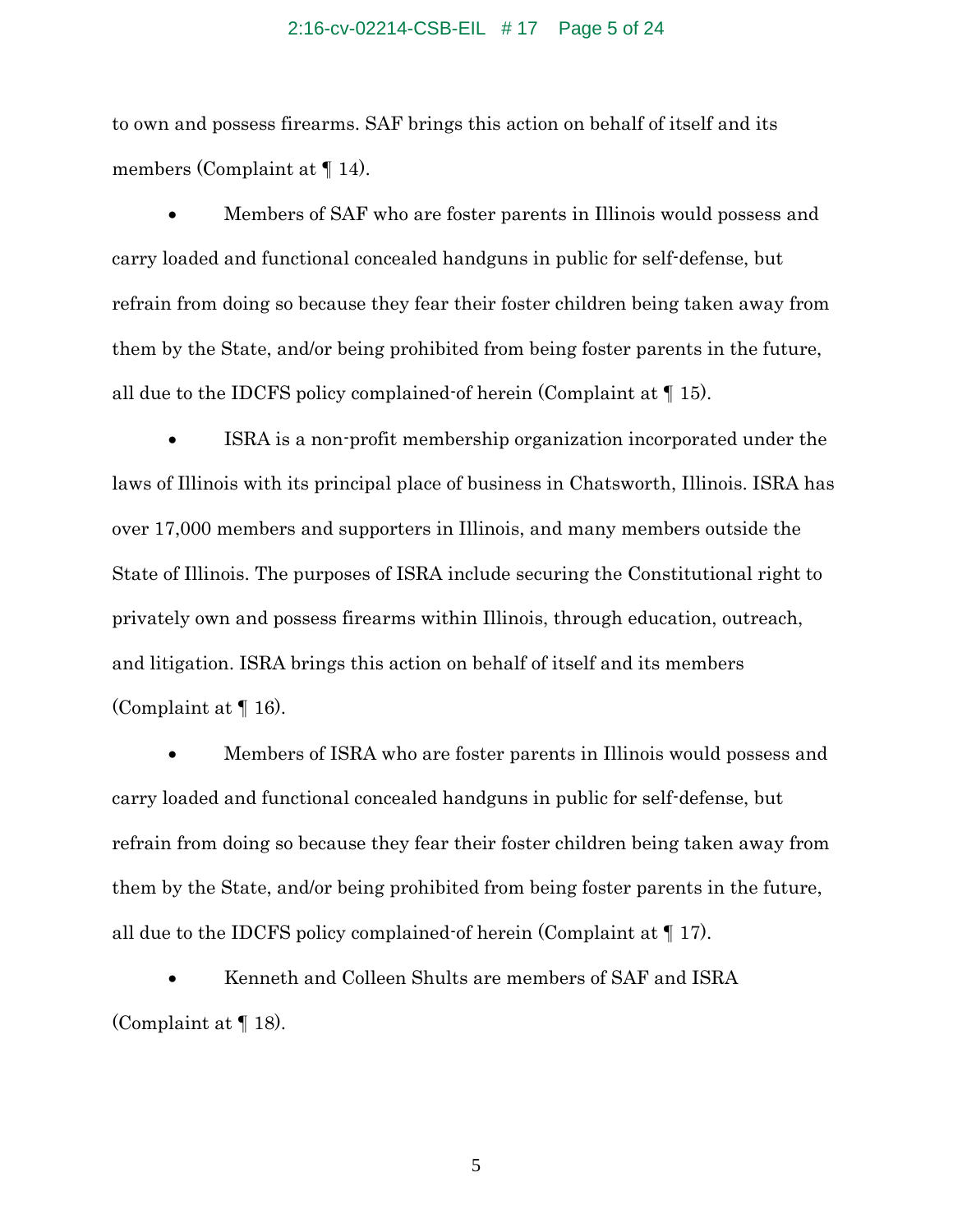#### 2:16-cv-02214-CSB-EIL # 17 Page 5 of 24

to own and possess firearms. SAF brings this action on behalf of itself and its members (Complaint at ¶ 14).

 Members of SAF who are foster parents in Illinois would possess and carry loaded and functional concealed handguns in public for self-defense, but refrain from doing so because they fear their foster children being taken away from them by the State, and/or being prohibited from being foster parents in the future, all due to the IDCFS policy complained of herein (Complaint at  $\P$  15).

 ISRA is a non-profit membership organization incorporated under the laws of Illinois with its principal place of business in Chatsworth, Illinois. ISRA has over 17,000 members and supporters in Illinois, and many members outside the State of Illinois. The purposes of ISRA include securing the Constitutional right to privately own and possess firearms within Illinois, through education, outreach, and litigation. ISRA brings this action on behalf of itself and its members (Complaint at ¶ 16).

 Members of ISRA who are foster parents in Illinois would possess and carry loaded and functional concealed handguns in public for self-defense, but refrain from doing so because they fear their foster children being taken away from them by the State, and/or being prohibited from being foster parents in the future, all due to the IDCFS policy complained-of herein (Complaint at ¶ 17).

 Kenneth and Colleen Shults are members of SAF and ISRA (Complaint at ¶ 18).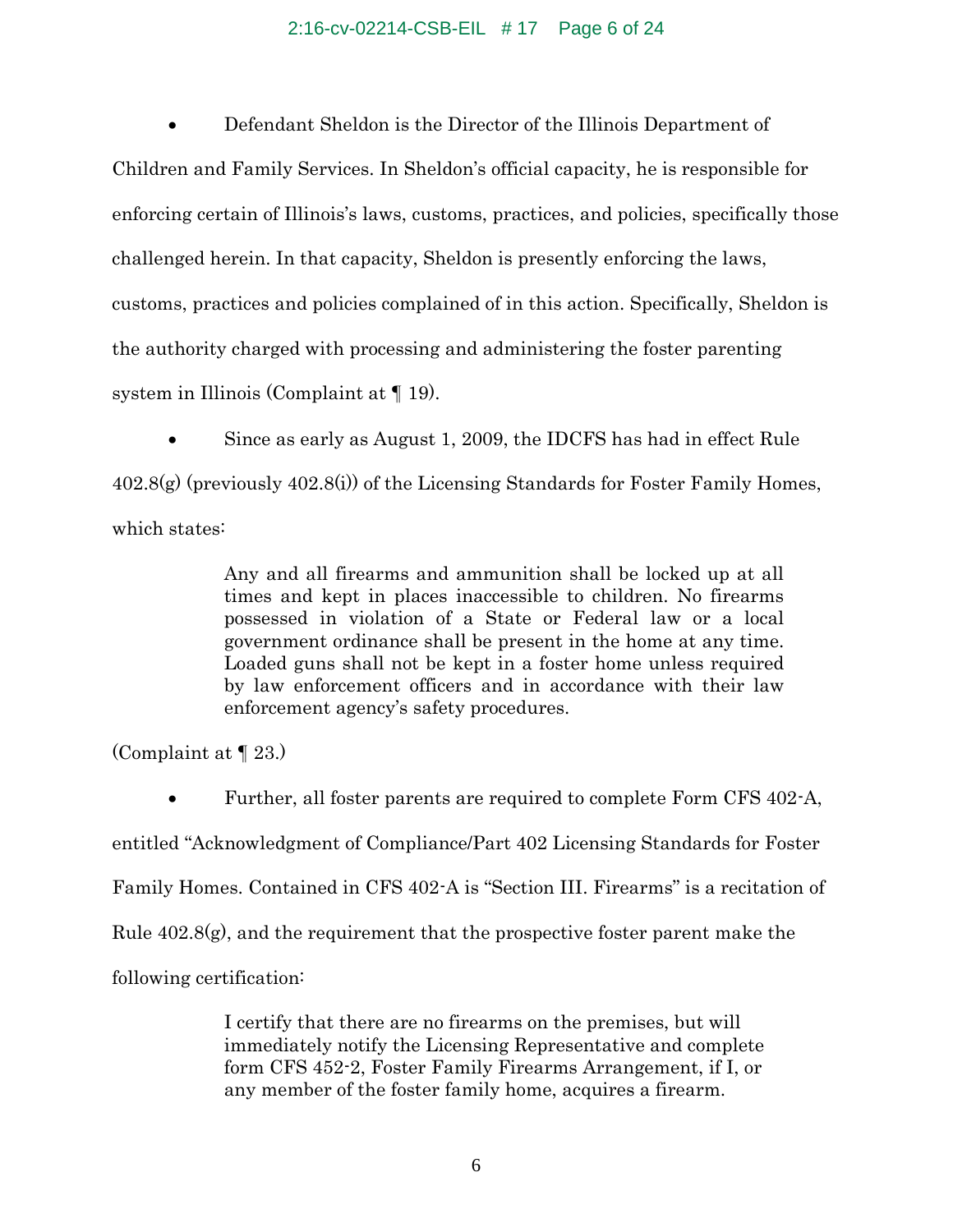### 2:16-cv-02214-CSB-EIL # 17 Page 6 of 24

 Defendant Sheldon is the Director of the Illinois Department of Children and Family Services. In Sheldon's official capacity, he is responsible for enforcing certain of Illinois's laws, customs, practices, and policies, specifically those challenged herein. In that capacity, Sheldon is presently enforcing the laws, customs, practices and policies complained of in this action. Specifically, Sheldon is the authority charged with processing and administering the foster parenting system in Illinois (Complaint at ¶ 19).

 Since as early as August 1, 2009, the IDCFS has had in effect Rule  $402.8(g)$  (previously  $402.8(i)$ ) of the Licensing Standards for Foster Family Homes, which states:

> Any and all firearms and ammunition shall be locked up at all times and kept in places inaccessible to children. No firearms possessed in violation of a State or Federal law or a local government ordinance shall be present in the home at any time. Loaded guns shall not be kept in a foster home unless required by law enforcement officers and in accordance with their law enforcement agency's safety procedures.

(Complaint at ¶ 23.)

 Further, all foster parents are required to complete Form CFS 402-A, entitled "Acknowledgment of Compliance/Part 402 Licensing Standards for Foster Family Homes. Contained in CFS 402-A is "Section III. Firearms" is a recitation of Rule  $402.8(g)$ , and the requirement that the prospective foster parent make the following certification:

> I certify that there are no firearms on the premises, but will immediately notify the Licensing Representative and complete form CFS 452-2, Foster Family Firearms Arrangement, if I, or any member of the foster family home, acquires a firearm.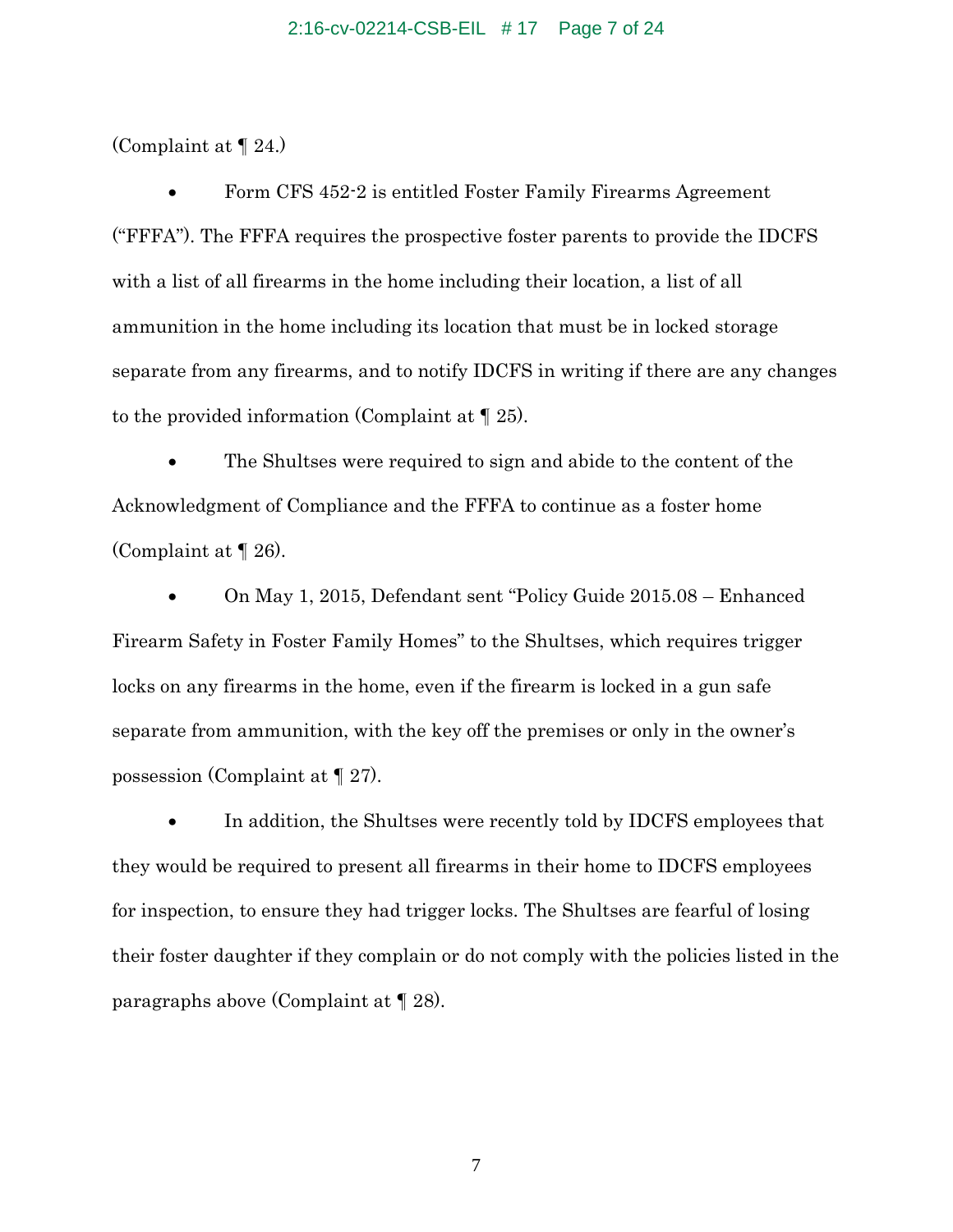(Complaint at ¶ 24.)

 Form CFS 452-2 is entitled Foster Family Firearms Agreement ("FFFA"). The FFFA requires the prospective foster parents to provide the IDCFS with a list of all firearms in the home including their location, a list of all ammunition in the home including its location that must be in locked storage separate from any firearms, and to notify IDCFS in writing if there are any changes to the provided information (Complaint at ¶ 25).

 The Shultses were required to sign and abide to the content of the Acknowledgment of Compliance and the FFFA to continue as a foster home (Complaint at ¶ 26).

 On May 1, 2015, Defendant sent "Policy Guide 2015.08 – Enhanced Firearm Safety in Foster Family Homes" to the Shultses, which requires trigger locks on any firearms in the home, even if the firearm is locked in a gun safe separate from ammunition, with the key off the premises or only in the owner's possession (Complaint at ¶ 27).

 In addition, the Shultses were recently told by IDCFS employees that they would be required to present all firearms in their home to IDCFS employees for inspection, to ensure they had trigger locks. The Shultses are fearful of losing their foster daughter if they complain or do not comply with the policies listed in the paragraphs above (Complaint at ¶ 28).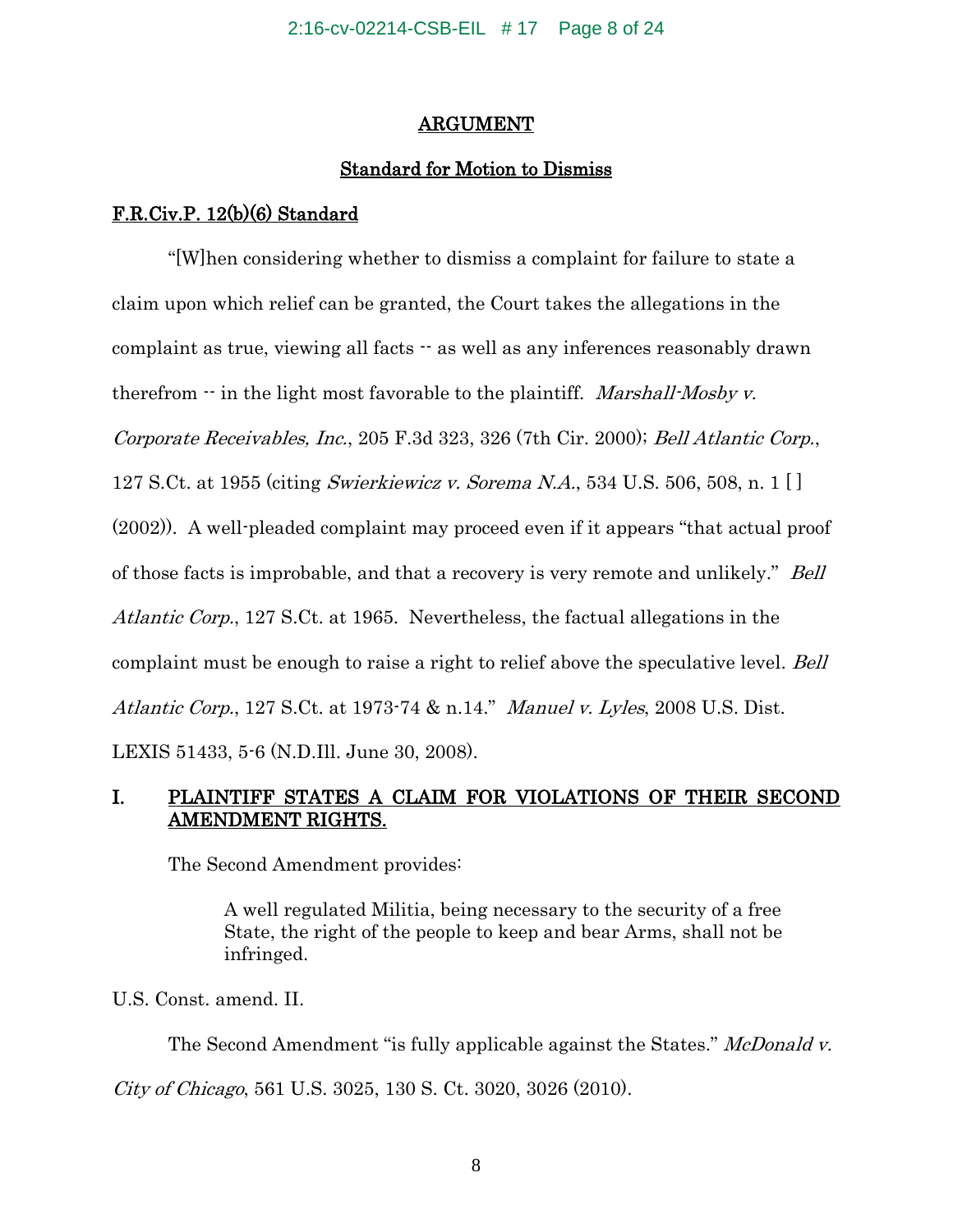## ARGUMENT

# Standard for Motion to Dismiss

## F.R.Civ.P. 12(b)(6) Standard

"[W]hen considering whether to dismiss a complaint for failure to state a claim upon which relief can be granted, the Court takes the allegations in the complaint as true, viewing all facts -- as well as any inferences reasonably drawn therefrom  $\cdot \cdot$  in the light most favorable to the plaintiff. *Marshall-Mosby v.* Corporate Receivables, Inc., 205 F.3d 323, 326 (7th Cir. 2000); Bell Atlantic Corp., 127 S.Ct. at 1955 (citing Swierkiewicz v. Sorema N.A., 534 U.S. 506, 508, n. 1 [ ] (2002)). A well-pleaded complaint may proceed even if it appears "that actual proof of those facts is improbable, and that a recovery is very remote and unlikely." Bell Atlantic Corp., 127 S.Ct. at 1965. Nevertheless, the factual allegations in the complaint must be enough to raise a right to relief above the speculative level. Bell Atlantic Corp., 127 S.Ct. at 1973-74 & n.14." Manuel v. Lyles, 2008 U.S. Dist. LEXIS 51433, 5-6 (N.D.Ill. June 30, 2008).

# I. PLAINTIFF STATES A CLAIM FOR VIOLATIONS OF THEIR SECOND AMENDMENT RIGHTS.

The Second Amendment provides:

A well regulated Militia, being necessary to the security of a free State, the right of the people to keep and bear Arms, shall not be infringed.

U.S. Const. amend. II.

The Second Amendment "is fully applicable against the States." McDonald v. City of Chicago, 561 U.S. 3025, 130 S. Ct. 3020, 3026 (2010).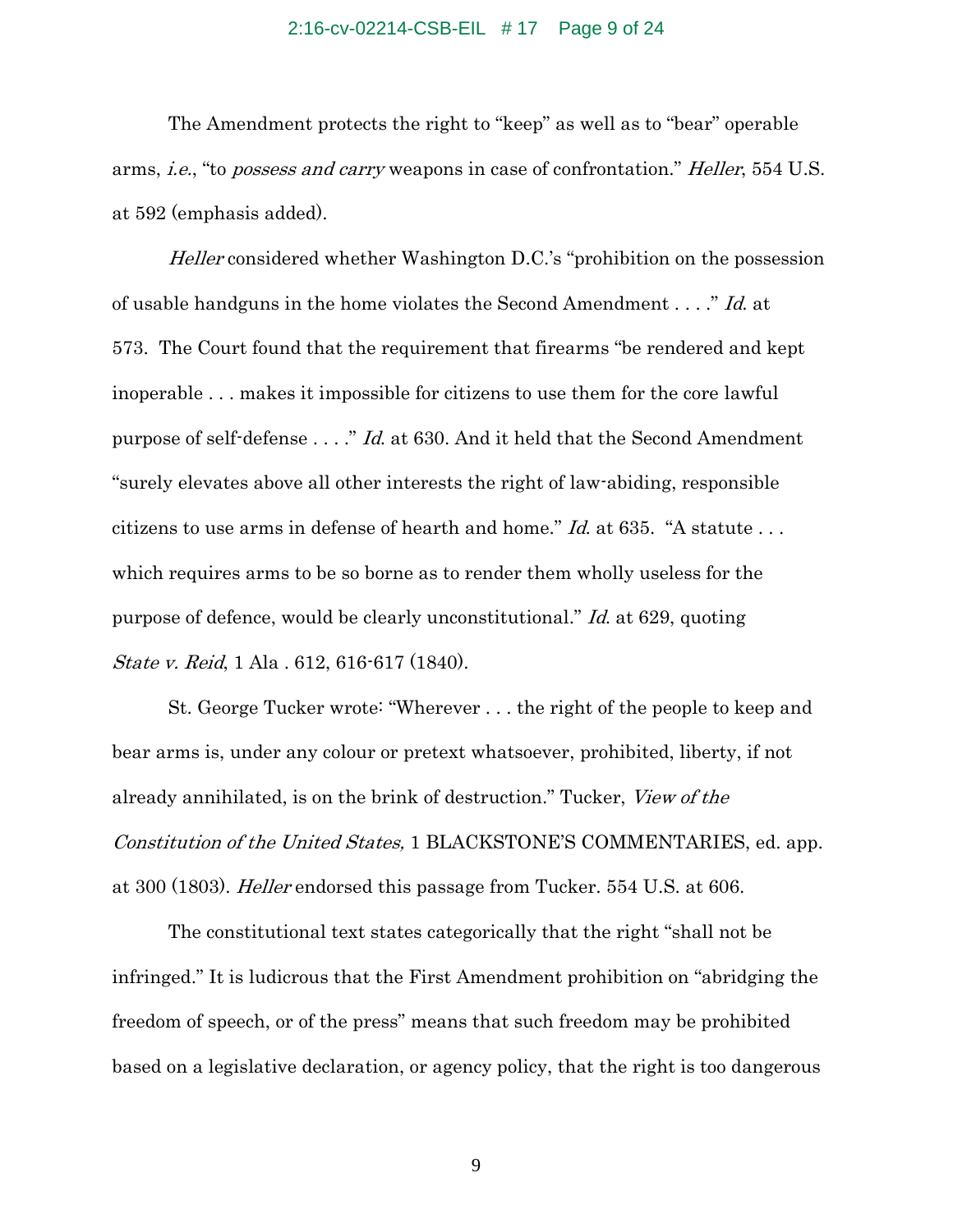### 2:16-cv-02214-CSB-EIL # 17 Page 9 of 24

The Amendment protects the right to "keep" as well as to "bear" operable arms, i.e., "to possess and carry weapons in case of confrontation." Heller, 554 U.S. at 592 (emphasis added).

Heller considered whether Washington D.C.'s "prohibition on the possession of usable handguns in the home violates the Second Amendment . . . ." Id. at 573. The Court found that the requirement that firearms "be rendered and kept inoperable . . . makes it impossible for citizens to use them for the core lawful purpose of self-defense . . . ." Id. at 630. And it held that the Second Amendment "surely elevates above all other interests the right of law-abiding, responsible citizens to use arms in defense of hearth and home." Id. at 635. "A statute . . . which requires arms to be so borne as to render them wholly useless for the purpose of defence, would be clearly unconstitutional." Id. at 629, quoting State v. Reid, 1 Ala . 612, 616-617 (1840).

St. George Tucker wrote: "Wherever . . . the right of the people to keep and bear arms is, under any colour or pretext whatsoever, prohibited, liberty, if not already annihilated, is on the brink of destruction." Tucker, View of the Constitution of the United States, 1 BLACKSTONE'S COMMENTARIES, ed. app. at 300 (1803). Heller endorsed this passage from Tucker. 554 U.S. at 606.

The constitutional text states categorically that the right "shall not be infringed." It is ludicrous that the First Amendment prohibition on "abridging the freedom of speech, or of the press" means that such freedom may be prohibited based on a legislative declaration, or agency policy, that the right is too dangerous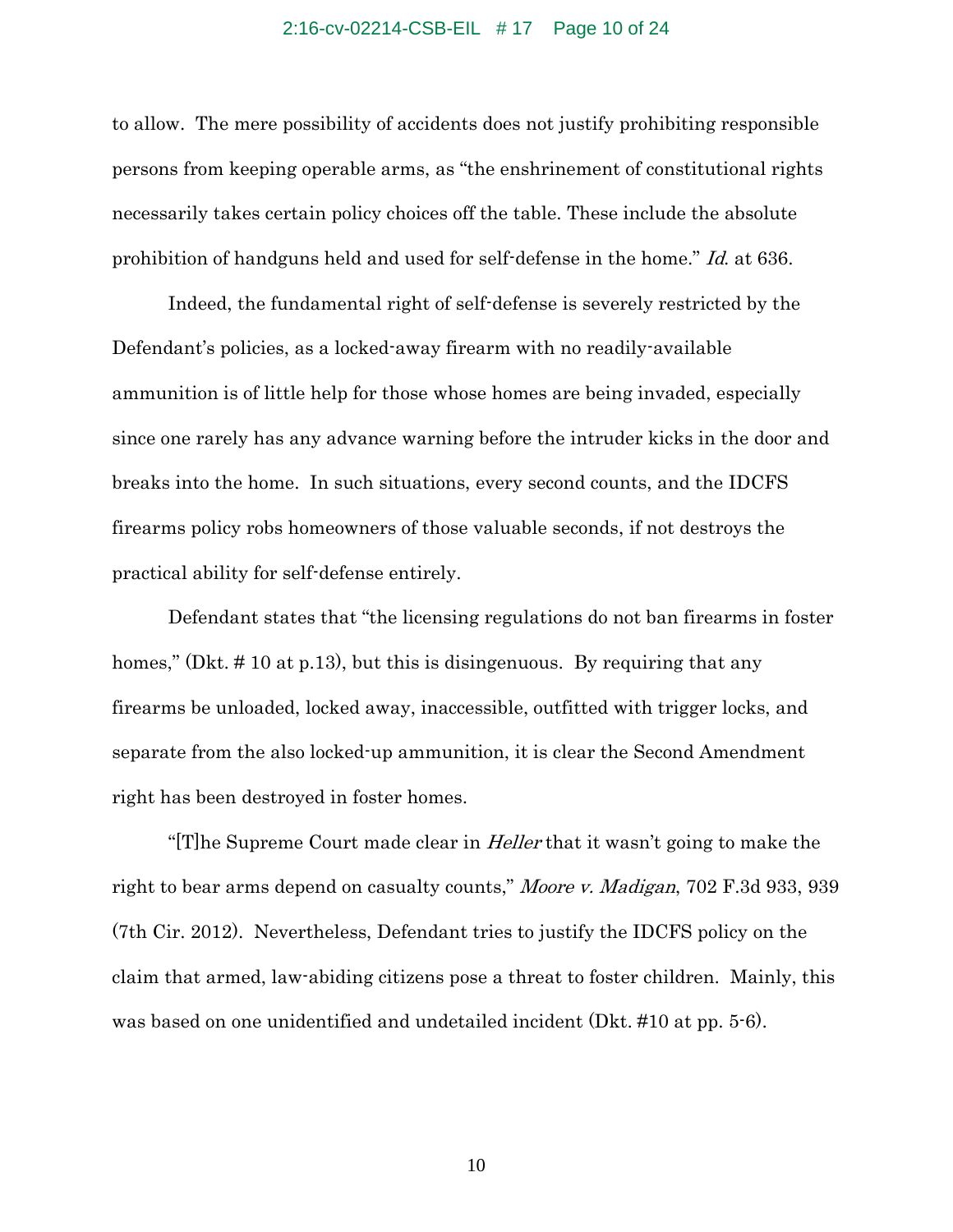## 2:16-cv-02214-CSB-EIL # 17 Page 10 of 24

to allow. The mere possibility of accidents does not justify prohibiting responsible persons from keeping operable arms, as "the enshrinement of constitutional rights necessarily takes certain policy choices off the table. These include the absolute prohibition of handguns held and used for self-defense in the home." Id. at 636.

Indeed, the fundamental right of self-defense is severely restricted by the Defendant's policies, as a locked-away firearm with no readily-available ammunition is of little help for those whose homes are being invaded, especially since one rarely has any advance warning before the intruder kicks in the door and breaks into the home. In such situations, every second counts, and the IDCFS firearms policy robs homeowners of those valuable seconds, if not destroys the practical ability for self-defense entirely.

Defendant states that "the licensing regulations do not ban firearms in foster homes," (Dkt. #10 at p.13), but this is disingenuous. By requiring that any firearms be unloaded, locked away, inaccessible, outfitted with trigger locks, and separate from the also locked-up ammunition, it is clear the Second Amendment right has been destroyed in foster homes.

"[T]he Supreme Court made clear in *Heller* that it wasn't going to make the right to bear arms depend on casualty counts," Moore v. Madigan, 702 F.3d 933, 939 (7th Cir. 2012). Nevertheless, Defendant tries to justify the IDCFS policy on the claim that armed, law-abiding citizens pose a threat to foster children. Mainly, this was based on one unidentified and undetailed incident (Dkt. #10 at pp. 5-6).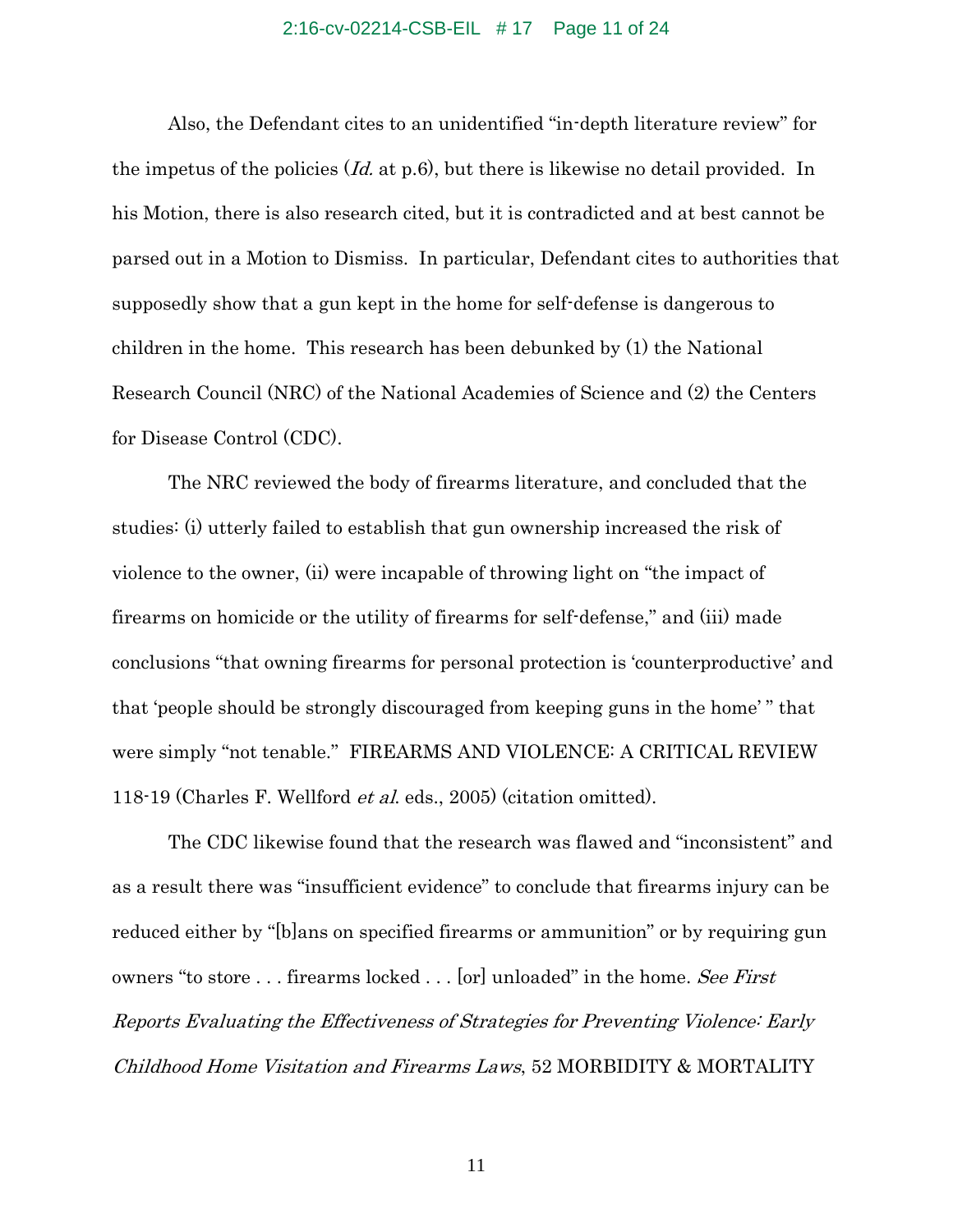## 2:16-cv-02214-CSB-EIL # 17 Page 11 of 24

Also, the Defendant cites to an unidentified "in-depth literature review" for the impetus of the policies  $Id$ , at p.6), but there is likewise no detail provided. In his Motion, there is also research cited, but it is contradicted and at best cannot be parsed out in a Motion to Dismiss. In particular, Defendant cites to authorities that supposedly show that a gun kept in the home for self-defense is dangerous to children in the home. This research has been debunked by (1) the National Research Council (NRC) of the National Academies of Science and (2) the Centers for Disease Control (CDC).

The NRC reviewed the body of firearms literature, and concluded that the studies: (i) utterly failed to establish that gun ownership increased the risk of violence to the owner, (ii) were incapable of throwing light on "the impact of firearms on homicide or the utility of firearms for self-defense," and (iii) made conclusions "that owning firearms for personal protection is 'counterproductive' and that 'people should be strongly discouraged from keeping guns in the home' " that were simply "not tenable." FIREARMS AND VIOLENCE: A CRITICAL REVIEW 118-19 (Charles F. Wellford et al. eds., 2005) (citation omitted).

The CDC likewise found that the research was flawed and "inconsistent" and as a result there was "insufficient evidence" to conclude that firearms injury can be reduced either by "[b]ans on specified firearms or ammunition" or by requiring gun owners "to store ... firearms locked ... [or] unloaded" in the home. See First Reports Evaluating the Effectiveness of Strategies for Preventing Violence: Early Childhood Home Visitation and Firearms Laws, 52 MORBIDITY & MORTALITY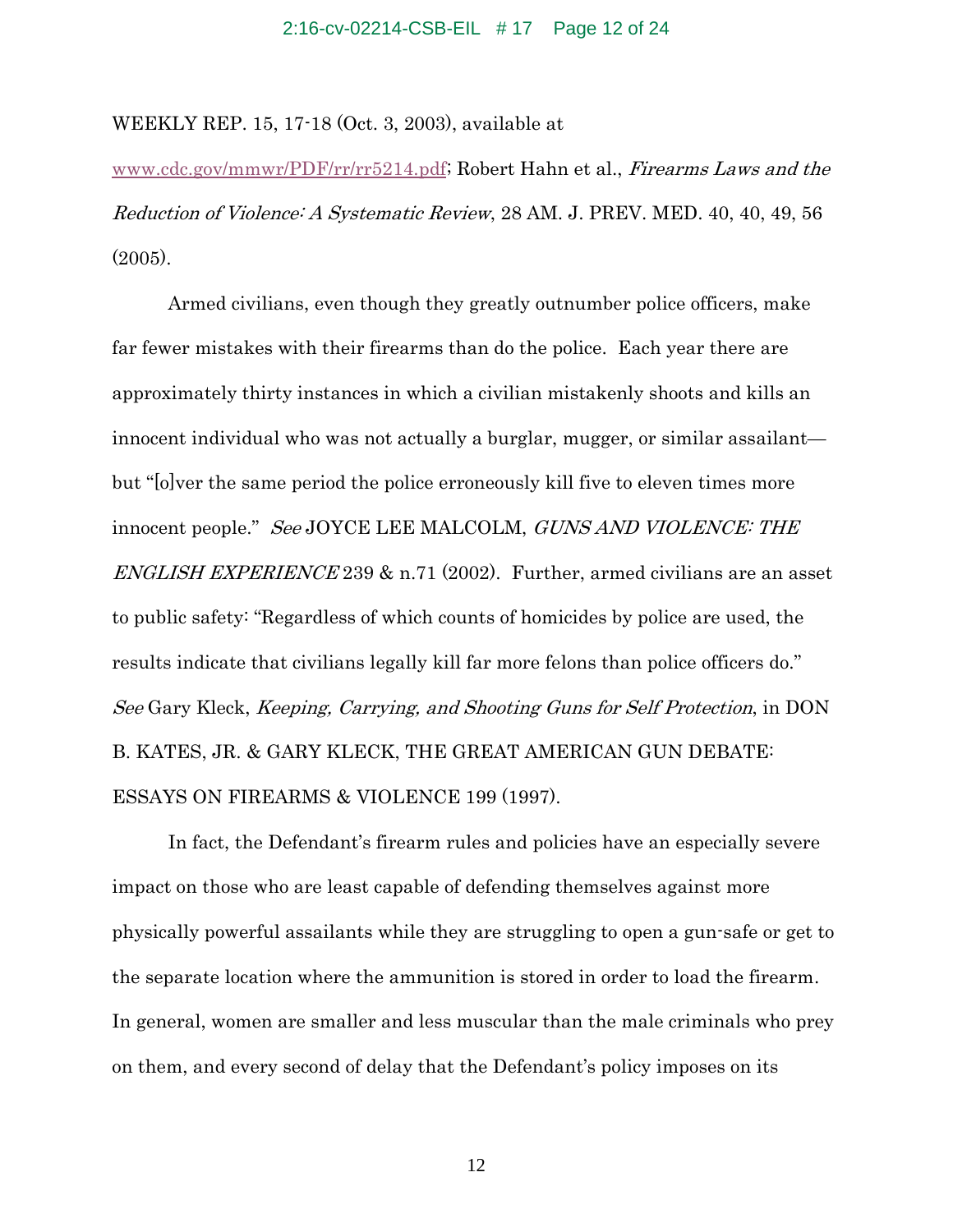### 2:16-cv-02214-CSB-EIL # 17 Page 12 of 24

WEEKLY REP. 15, 17-18 (Oct. 3, 2003), available at

www.cdc.gov/mmwr/PDF/rr/rr5214.pdf; Robert Hahn et al., Firearms Laws and the Reduction of Violence: A Systematic Review, 28 AM. J. PREV. MED. 40, 40, 49, 56 (2005).

Armed civilians, even though they greatly outnumber police officers, make far fewer mistakes with their firearms than do the police. Each year there are approximately thirty instances in which a civilian mistakenly shoots and kills an innocent individual who was not actually a burglar, mugger, or similar assailant but "[o]ver the same period the police erroneously kill five to eleven times more innocent people." See JOYCE LEE MALCOLM, GUNS AND VIOLENCE: THE ENGLISH EXPERIENCE 239  $\&$  n.71 (2002). Further, armed civilians are an asset to public safety: "Regardless of which counts of homicides by police are used, the results indicate that civilians legally kill far more felons than police officers do." See Gary Kleck, Keeping, Carrying, and Shooting Guns for Self Protection, in DON B. KATES, JR. & GARY KLECK, THE GREAT AMERICAN GUN DEBATE: ESSAYS ON FIREARMS & VIOLENCE 199 (1997).

In fact, the Defendant's firearm rules and policies have an especially severe impact on those who are least capable of defending themselves against more physically powerful assailants while they are struggling to open a gun-safe or get to the separate location where the ammunition is stored in order to load the firearm. In general, women are smaller and less muscular than the male criminals who prey on them, and every second of delay that the Defendant's policy imposes on its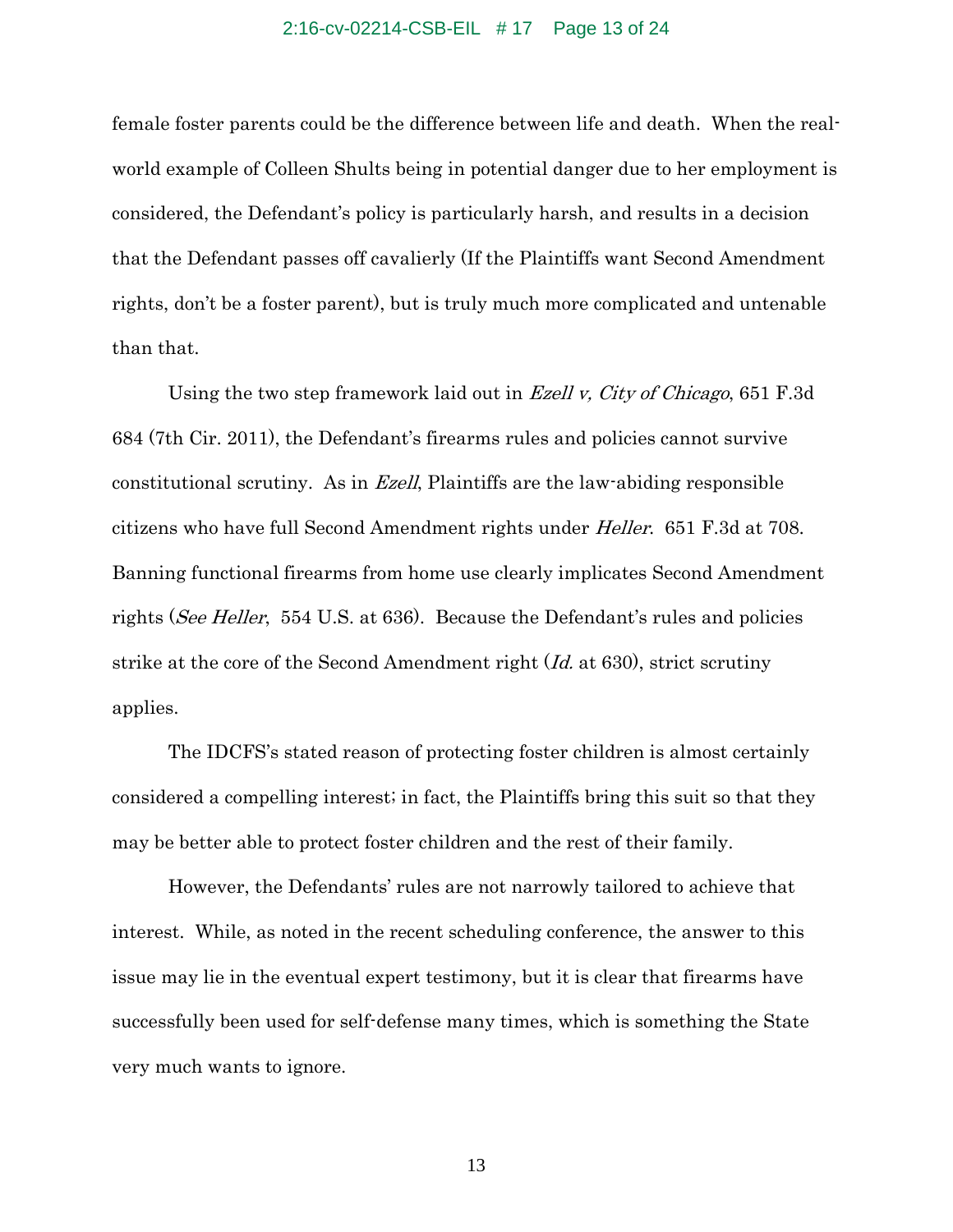#### 2:16-cv-02214-CSB-EIL # 17 Page 13 of 24

female foster parents could be the difference between life and death. When the realworld example of Colleen Shults being in potential danger due to her employment is considered, the Defendant's policy is particularly harsh, and results in a decision that the Defendant passes off cavalierly (If the Plaintiffs want Second Amendment rights, don't be a foster parent), but is truly much more complicated and untenable than that.

Using the two step framework laid out in *Ezell v, City of Chicago*, 651 F.3d 684 (7th Cir. 2011), the Defendant's firearms rules and policies cannot survive constitutional scrutiny. As in Ezell, Plaintiffs are the law-abiding responsible citizens who have full Second Amendment rights under Heller. 651 F.3d at 708. Banning functional firearms from home use clearly implicates Second Amendment rights (See Heller, 554 U.S. at 636). Because the Defendant's rules and policies strike at the core of the Second Amendment right (Id. at 630), strict scrutiny applies.

The IDCFS's stated reason of protecting foster children is almost certainly considered a compelling interest; in fact, the Plaintiffs bring this suit so that they may be better able to protect foster children and the rest of their family.

However, the Defendants' rules are not narrowly tailored to achieve that interest. While, as noted in the recent scheduling conference, the answer to this issue may lie in the eventual expert testimony, but it is clear that firearms have successfully been used for self-defense many times, which is something the State very much wants to ignore.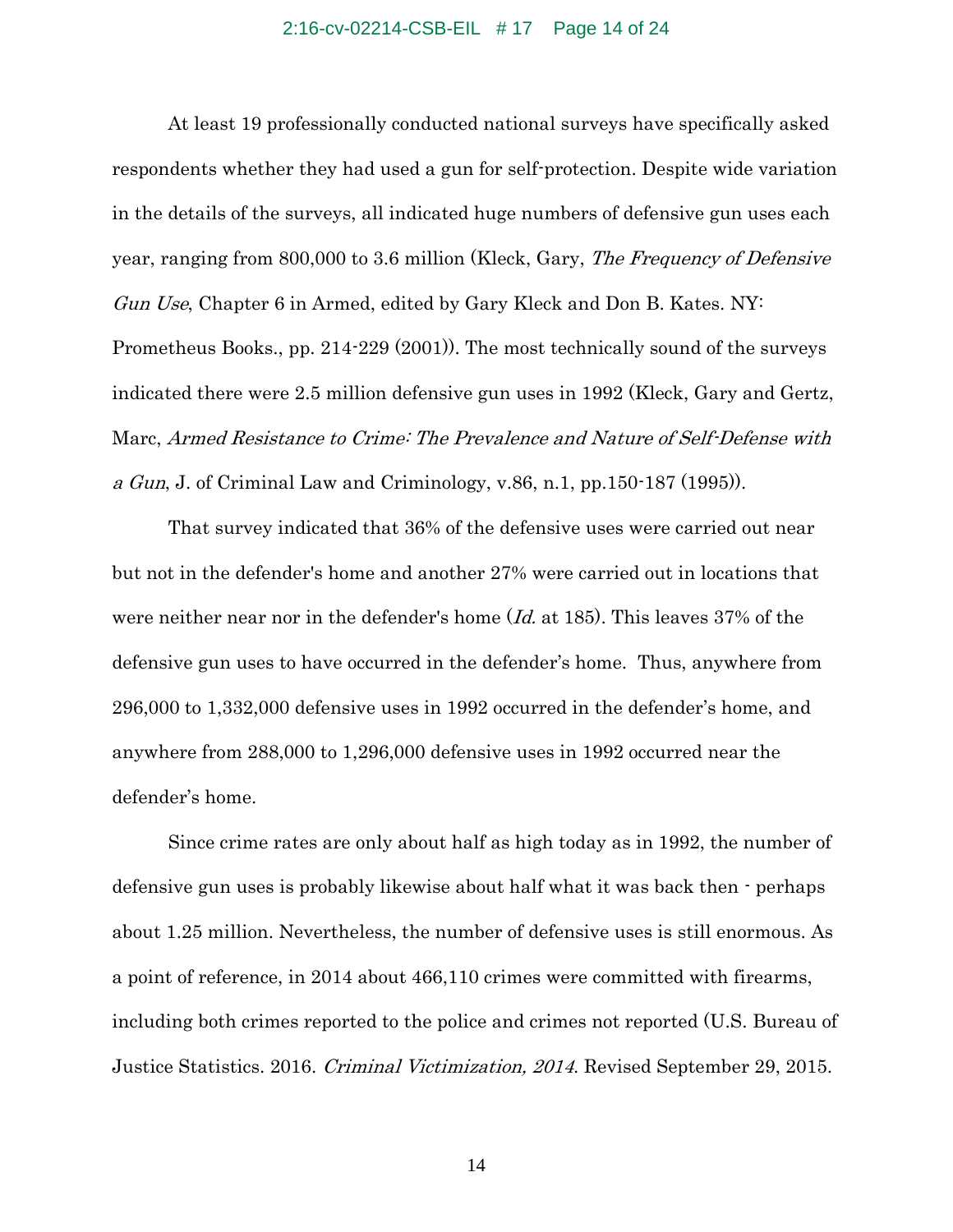#### 2:16-cv-02214-CSB-EIL # 17 Page 14 of 24

At least 19 professionally conducted national surveys have specifically asked respondents whether they had used a gun for self-protection. Despite wide variation in the details of the surveys, all indicated huge numbers of defensive gun uses each year, ranging from 800,000 to 3.6 million (Kleck, Gary, The Frequency of Defensive Gun Use, Chapter 6 in Armed, edited by Gary Kleck and Don B. Kates. NY: Prometheus Books., pp. 214-229 (2001)). The most technically sound of the surveys indicated there were 2.5 million defensive gun uses in 1992 (Kleck, Gary and Gertz, Marc, Armed Resistance to Crime: The Prevalence and Nature of Self-Defense with a Gun, J. of Criminal Law and Criminology, v.86, n.1, pp. 150 $\cdot$ 187 (1995)).

That survey indicated that 36% of the defensive uses were carried out near but not in the defender's home and another 27% were carried out in locations that were neither near nor in the defender's home (*Id.* at 185). This leaves 37% of the defensive gun uses to have occurred in the defender's home. Thus, anywhere from 296,000 to 1,332,000 defensive uses in 1992 occurred in the defender's home, and anywhere from 288,000 to 1,296,000 defensive uses in 1992 occurred near the defender's home.

Since crime rates are only about half as high today as in 1992, the number of defensive gun uses is probably likewise about half what it was back then - perhaps about 1.25 million. Nevertheless, the number of defensive uses is still enormous. As a point of reference, in 2014 about 466,110 crimes were committed with firearms, including both crimes reported to the police and crimes not reported (U.S. Bureau of Justice Statistics. 2016. Criminal Victimization, 2014. Revised September 29, 2015.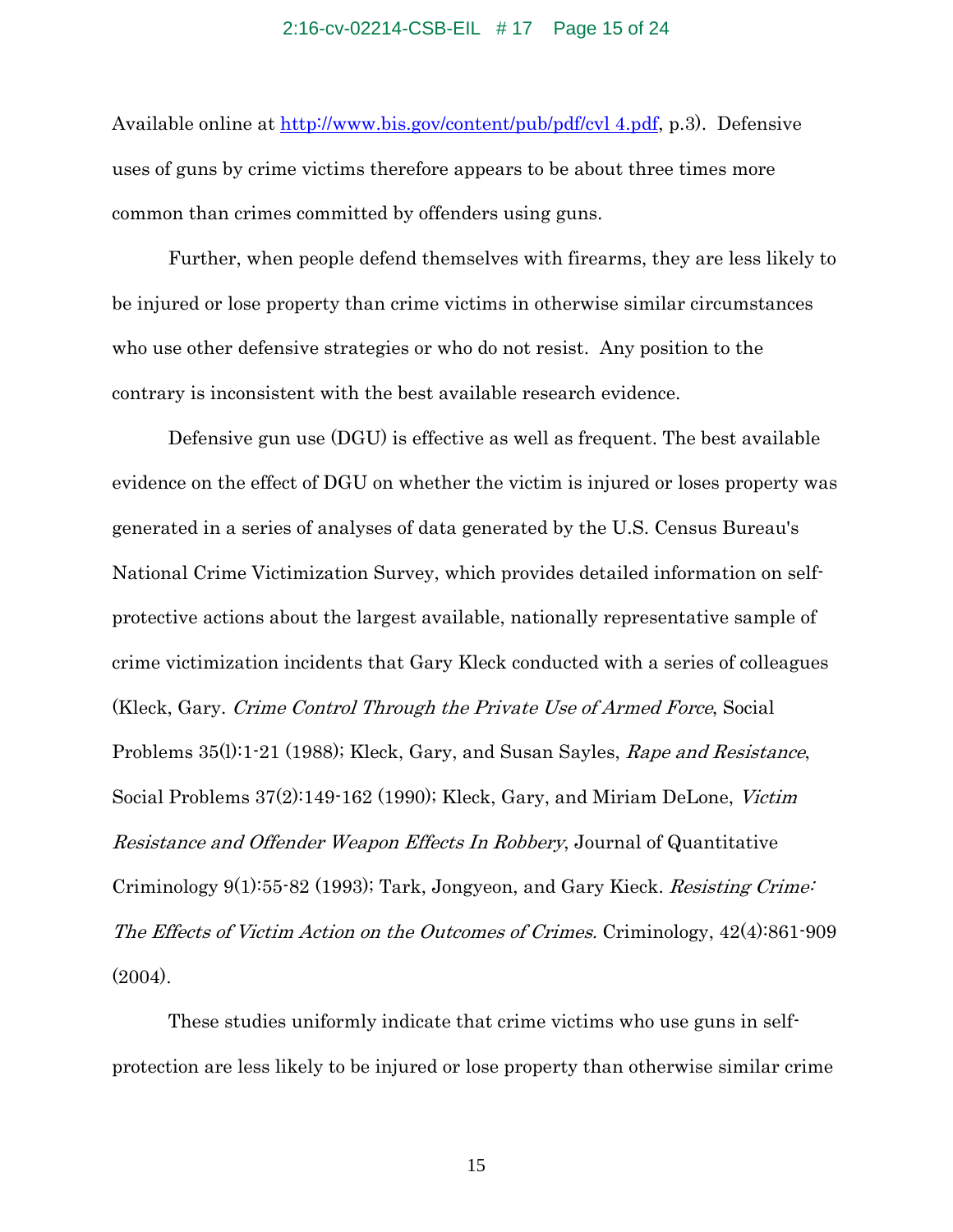## 2:16-cv-02214-CSB-EIL # 17 Page 15 of 24

Available online at http://www.bis.gov/content/pub/pdf/cvl 4.pdf, p.3). Defensive uses of guns by crime victims therefore appears to be about three times more common than crimes committed by offenders using guns.

Further, when people defend themselves with firearms, they are less likely to be injured or lose property than crime victims in otherwise similar circumstances who use other defensive strategies or who do not resist. Any position to the contrary is inconsistent with the best available research evidence.

Defensive gun use (DGU) is effective as well as frequent. The best available evidence on the effect of DGU on whether the victim is injured or loses property was generated in a series of analyses of data generated by the U.S. Census Bureau's National Crime Victimization Survey, which provides detailed information on selfprotective actions about the largest available, nationally representative sample of crime victimization incidents that Gary Kleck conducted with a series of colleagues (Kleck, Gary. Crime Control Through the Private Use of Armed Force, Social Problems 35(l):1-21 (1988); Kleck, Gary, and Susan Sayles, Rape and Resistance, Social Problems 37(2):149-162 (1990); Kleck, Gary, and Miriam DeLone, Victim Resistance and Offender Weapon Effects In Robbery, Journal of Quantitative Criminology 9(1):55-82 (1993); Tark, Jongyeon, and Gary Kieck. Resisting Crime: The Effects of Victim Action on the Outcomes of Crimes. Criminology, 42(4):861-909  $(2004)$ .

These studies uniformly indicate that crime victims who use guns in selfprotection are less likely to be injured or lose property than otherwise similar crime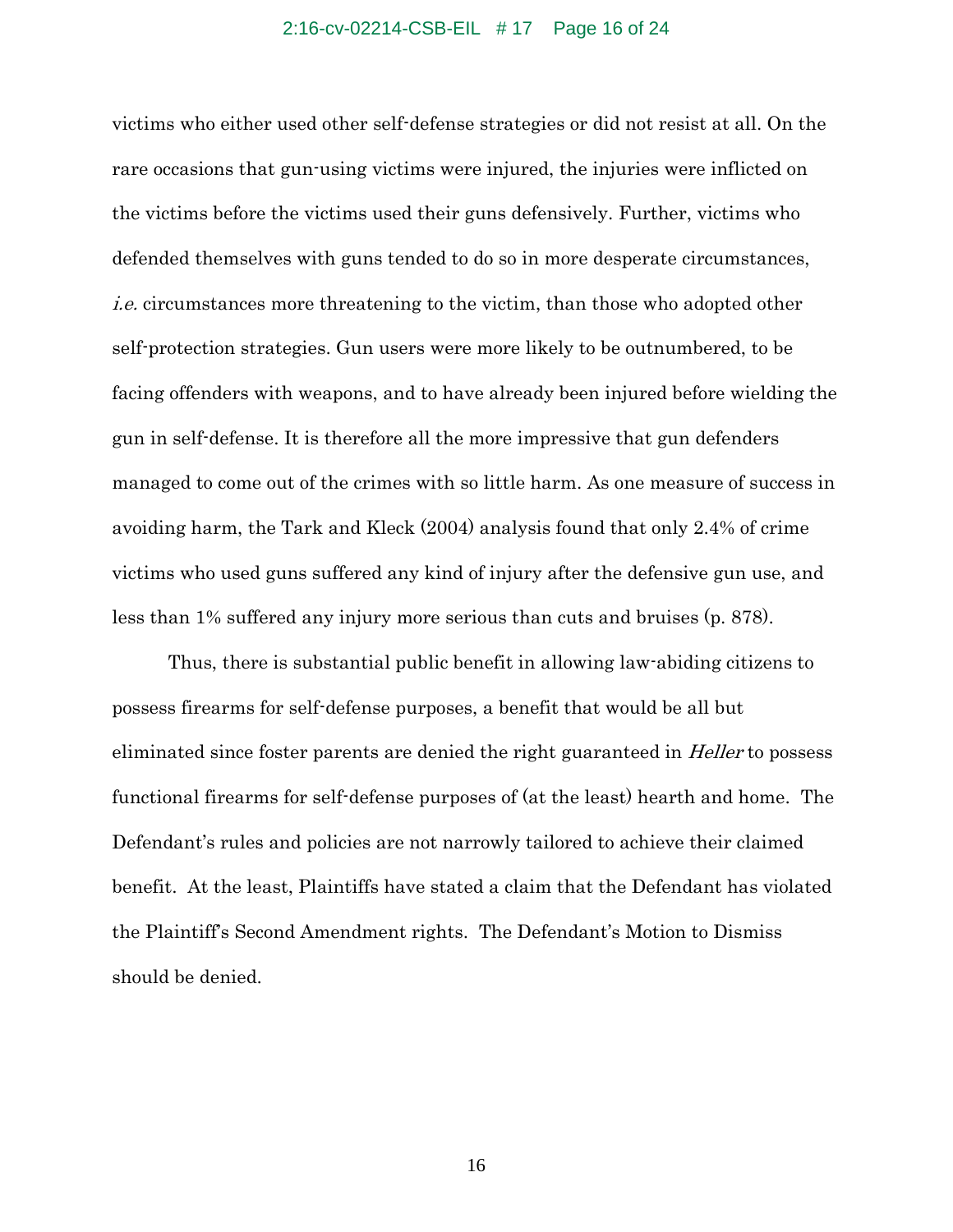## 2:16-cv-02214-CSB-EIL # 17 Page 16 of 24

victims who either used other self-defense strategies or did not resist at all. On the rare occasions that gun-using victims were injured, the injuries were inflicted on the victims before the victims used their guns defensively. Further, victims who defended themselves with guns tended to do so in more desperate circumstances, i.e. circumstances more threatening to the victim, than those who adopted other self-protection strategies. Gun users were more likely to be outnumbered, to be facing offenders with weapons, and to have already been injured before wielding the gun in self-defense. It is therefore all the more impressive that gun defenders managed to come out of the crimes with so little harm. As one measure of success in avoiding harm, the Tark and Kleck (2004) analysis found that only 2.4% of crime victims who used guns suffered any kind of injury after the defensive gun use, and less than 1% suffered any injury more serious than cuts and bruises (p. 878).

Thus, there is substantial public benefit in allowing law-abiding citizens to possess firearms for self-defense purposes, a benefit that would be all but eliminated since foster parents are denied the right guaranteed in Heller to possess functional firearms for self-defense purposes of (at the least) hearth and home. The Defendant's rules and policies are not narrowly tailored to achieve their claimed benefit. At the least, Plaintiffs have stated a claim that the Defendant has violated the Plaintiff's Second Amendment rights. The Defendant's Motion to Dismiss should be denied.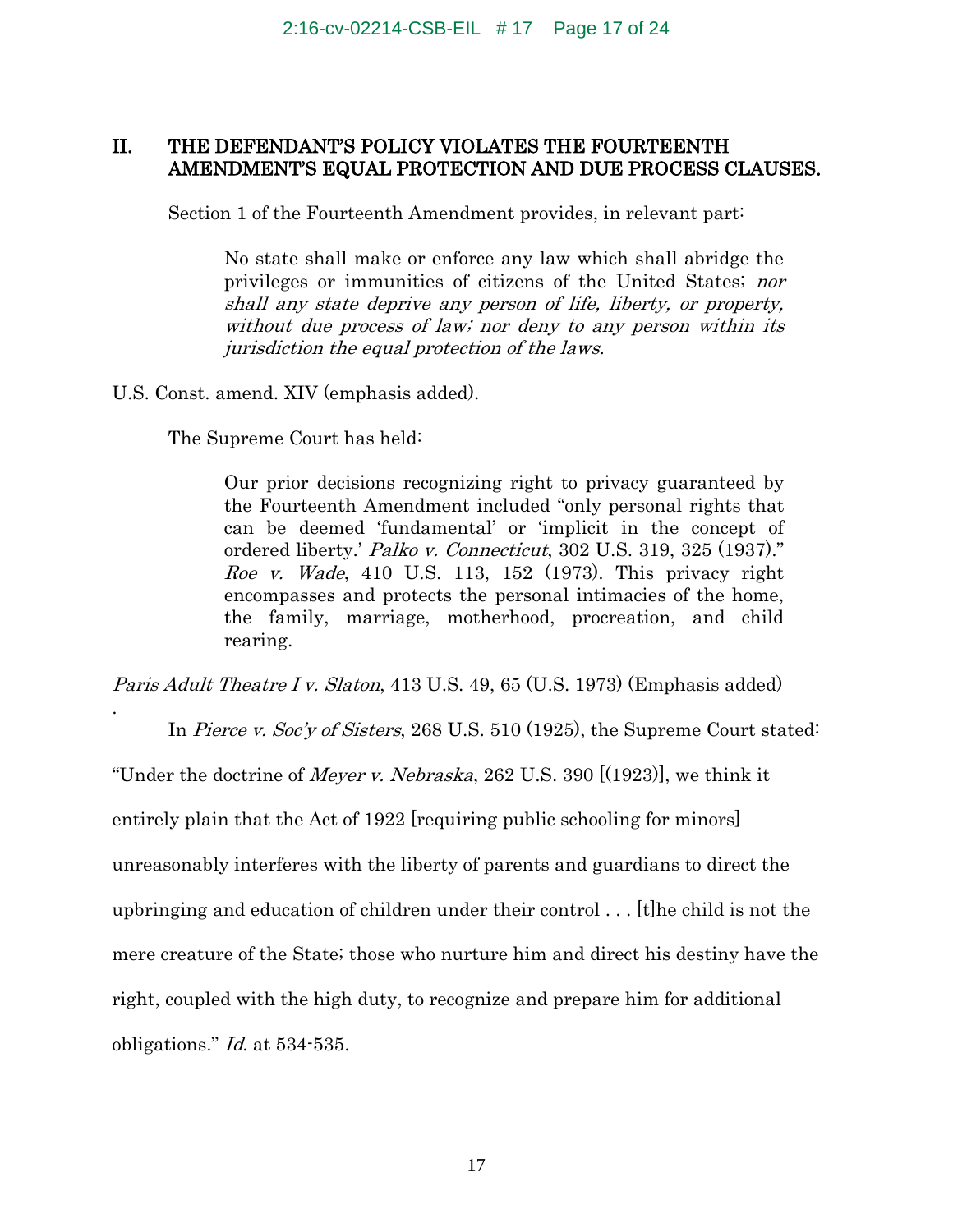## II. THE DEFENDANT'S POLICY VIOLATES THE FOURTEENTH AMENDMENT'S EQUAL PROTECTION AND DUE PROCESS CLAUSES.

Section 1 of the Fourteenth Amendment provides, in relevant part:

No state shall make or enforce any law which shall abridge the privileges or immunities of citizens of the United States; nor shall any state deprive any person of life, liberty, or property, without due process of law; nor deny to any person within its jurisdiction the equal protection of the laws.

U.S. Const. amend. XIV (emphasis added).

The Supreme Court has held:

Our prior decisions recognizing right to privacy guaranteed by the Fourteenth Amendment included "only personal rights that can be deemed 'fundamental' or 'implicit in the concept of ordered liberty.' Palko v. Connecticut, 302 U.S. 319, 325 (1937)." Roe v. Wade, 410 U.S. 113, 152 (1973). This privacy right encompasses and protects the personal intimacies of the home, the family, marriage, motherhood, procreation, and child rearing.

Paris Adult Theatre I v. Slaton, 413 U.S. 49, 65 (U.S. 1973) (Emphasis added)

In *Pierce v. Soc'y of Sisters*, 268 U.S. 510 (1925), the Supreme Court stated:

"Under the doctrine of *Meyer v. Nebraska*, 262 U.S. 390  $[(1923)]$ , we think it

entirely plain that the Act of 1922 [requiring public schooling for minors]

unreasonably interferes with the liberty of parents and guardians to direct the

upbringing and education of children under their control . . . [t]he child is not the

mere creature of the State; those who nurture him and direct his destiny have the

right, coupled with the high duty, to recognize and prepare him for additional

obligations." Id. at 534-535.

.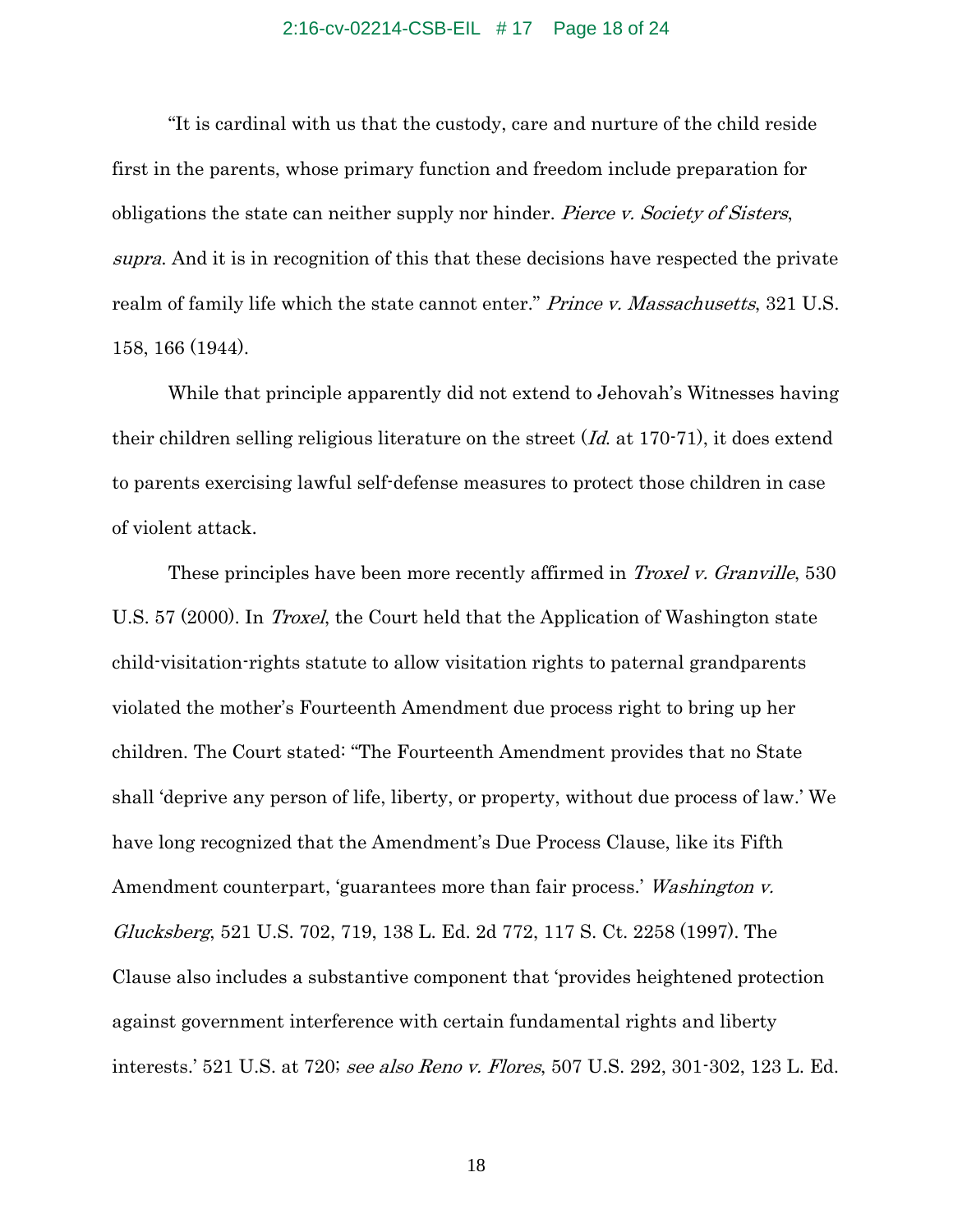### 2:16-cv-02214-CSB-EIL # 17 Page 18 of 24

"It is cardinal with us that the custody, care and nurture of the child reside first in the parents, whose primary function and freedom include preparation for obligations the state can neither supply nor hinder. Pierce v. Society of Sisters, supra. And it is in recognition of this that these decisions have respected the private realm of family life which the state cannot enter." *Prince v. Massachusetts*, 321 U.S. 158, 166 (1944).

While that principle apparently did not extend to Jehovah's Witnesses having their children selling religious literature on the street  $(Id$  at 170-71), it does extend to parents exercising lawful self-defense measures to protect those children in case of violent attack.

These principles have been more recently affirmed in *Troxel v. Granville*, 530 U.S. 57 (2000). In *Troxel*, the Court held that the Application of Washington state child-visitation-rights statute to allow visitation rights to paternal grandparents violated the mother's Fourteenth Amendment due process right to bring up her children. The Court stated: "The Fourteenth Amendment provides that no State shall 'deprive any person of life, liberty, or property, without due process of law.' We have long recognized that the Amendment's Due Process Clause, like its Fifth Amendment counterpart, 'guarantees more than fair process.' Washington v. Glucksberg, 521 U.S. 702, 719, 138 L. Ed. 2d 772, 117 S. Ct. 2258 (1997). The Clause also includes a substantive component that 'provides heightened protection against government interference with certain fundamental rights and liberty interests.' 521 U.S. at 720; see also Reno v. Flores, 507 U.S. 292, 301-302, 123 L. Ed.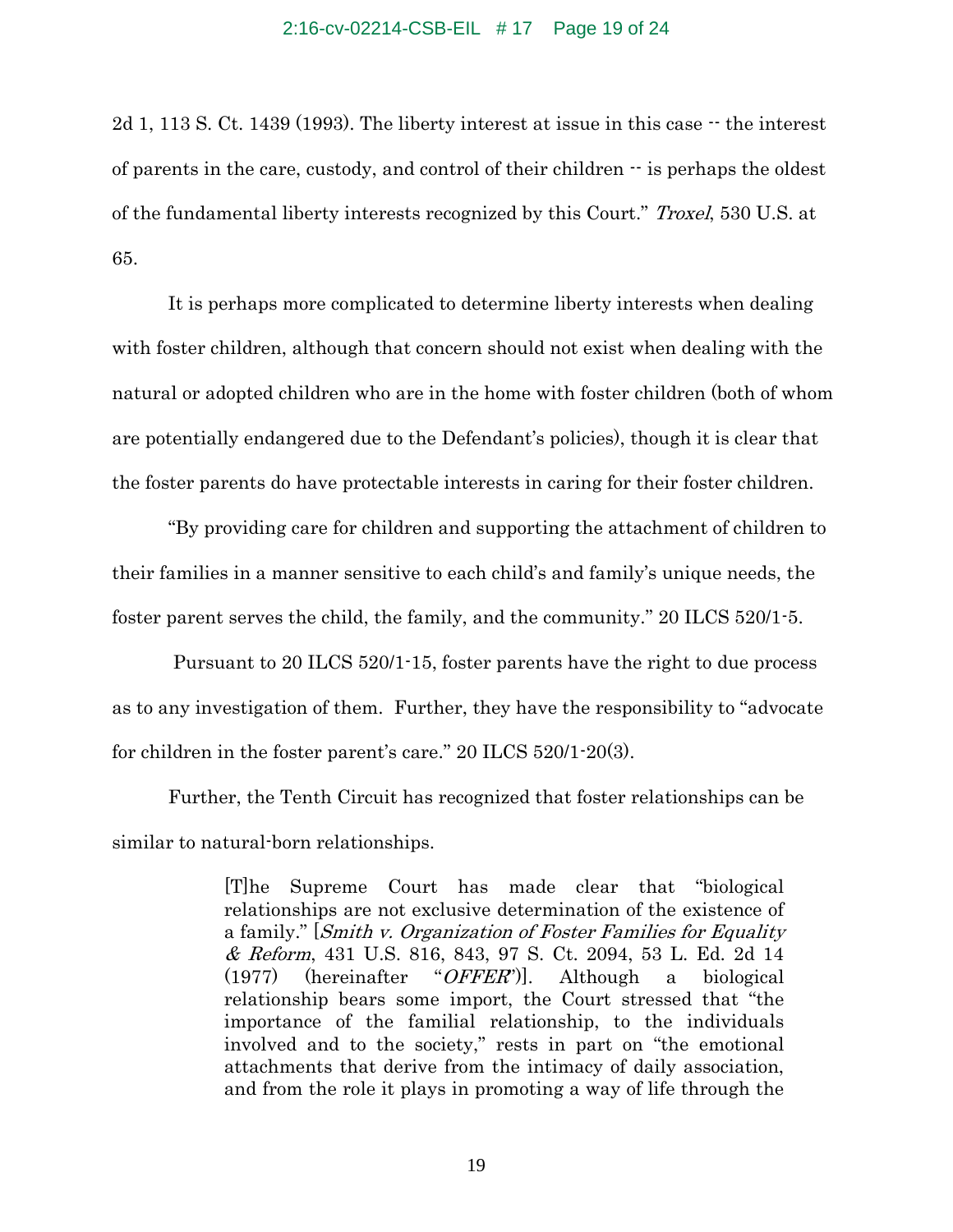### 2:16-cv-02214-CSB-EIL # 17 Page 19 of 24

2d 1, 113 S. Ct. 1439 (1993). The liberty interest at issue in this case  $\cdot$  the interest of parents in the care, custody, and control of their children  $\cdot \cdot$  is perhaps the oldest of the fundamental liberty interests recognized by this Court." Troxel, 530 U.S. at 65.

It is perhaps more complicated to determine liberty interests when dealing with foster children, although that concern should not exist when dealing with the natural or adopted children who are in the home with foster children (both of whom are potentially endangered due to the Defendant's policies), though it is clear that the foster parents do have protectable interests in caring for their foster children.

"By providing care for children and supporting the attachment of children to their families in a manner sensitive to each child's and family's unique needs, the foster parent serves the child, the family, and the community." 20 ILCS 520/1-5.

Pursuant to 20 ILCS 520/1-15, foster parents have the right to due process as to any investigation of them. Further, they have the responsibility to "advocate for children in the foster parent's care." 20 ILCS 520/1-20(3).

Further, the Tenth Circuit has recognized that foster relationships can be similar to natural-born relationships.

> [T]he Supreme Court has made clear that "biological relationships are not exclusive determination of the existence of a family." [Smith v. Organization of Foster Families for Equality & Reform, 431 U.S. 816, 843, 97 S. Ct. 2094, 53 L. Ed. 2d 14  $(1977)$  (hereinafter "*OFFER*"). Although a biological relationship bears some import, the Court stressed that "the importance of the familial relationship, to the individuals involved and to the society," rests in part on "the emotional attachments that derive from the intimacy of daily association, and from the role it plays in promoting a way of life through the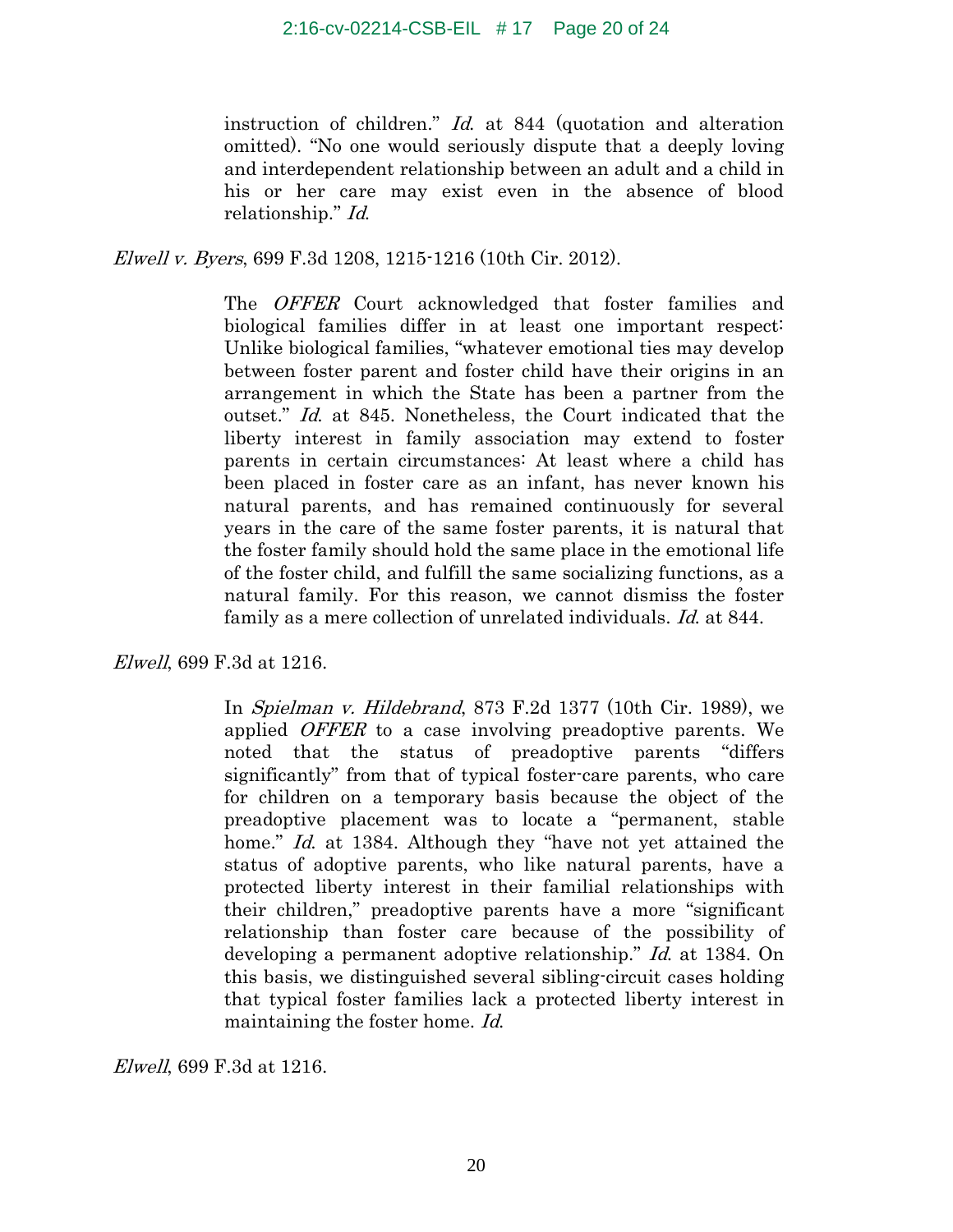instruction of children." Id. at 844 (quotation and alteration omitted). "No one would seriously dispute that a deeply loving and interdependent relationship between an adult and a child in his or her care may exist even in the absence of blood relationship." Id.

Elwell v. Byers, 699 F.3d 1208, 1215-1216 (10th Cir. 2012).

The *OFFER* Court acknowledged that foster families and biological families differ in at least one important respect: Unlike biological families, "whatever emotional ties may develop between foster parent and foster child have their origins in an arrangement in which the State has been a partner from the outset." Id. at 845. Nonetheless, the Court indicated that the liberty interest in family association may extend to foster parents in certain circumstances: At least where a child has been placed in foster care as an infant, has never known his natural parents, and has remained continuously for several years in the care of the same foster parents, it is natural that the foster family should hold the same place in the emotional life of the foster child, and fulfill the same socializing functions, as a natural family. For this reason, we cannot dismiss the foster family as a mere collection of unrelated individuals. Id. at 844.

Elwell, 699 F.3d at 1216.

In Spielman v. Hildebrand, 873 F.2d 1377 (10th Cir. 1989), we applied *OFFER* to a case involving preadoptive parents. We noted that the status of preadoptive parents "differs significantly" from that of typical foster-care parents, who care for children on a temporary basis because the object of the preadoptive placement was to locate a "permanent, stable home." Id. at 1384. Although they "have not yet attained the status of adoptive parents, who like natural parents, have a protected liberty interest in their familial relationships with their children," preadoptive parents have a more "significant relationship than foster care because of the possibility of developing a permanent adoptive relationship." Id. at 1384. On this basis, we distinguished several sibling-circuit cases holding that typical foster families lack a protected liberty interest in maintaining the foster home. Id.

Elwell, 699 F.3d at 1216.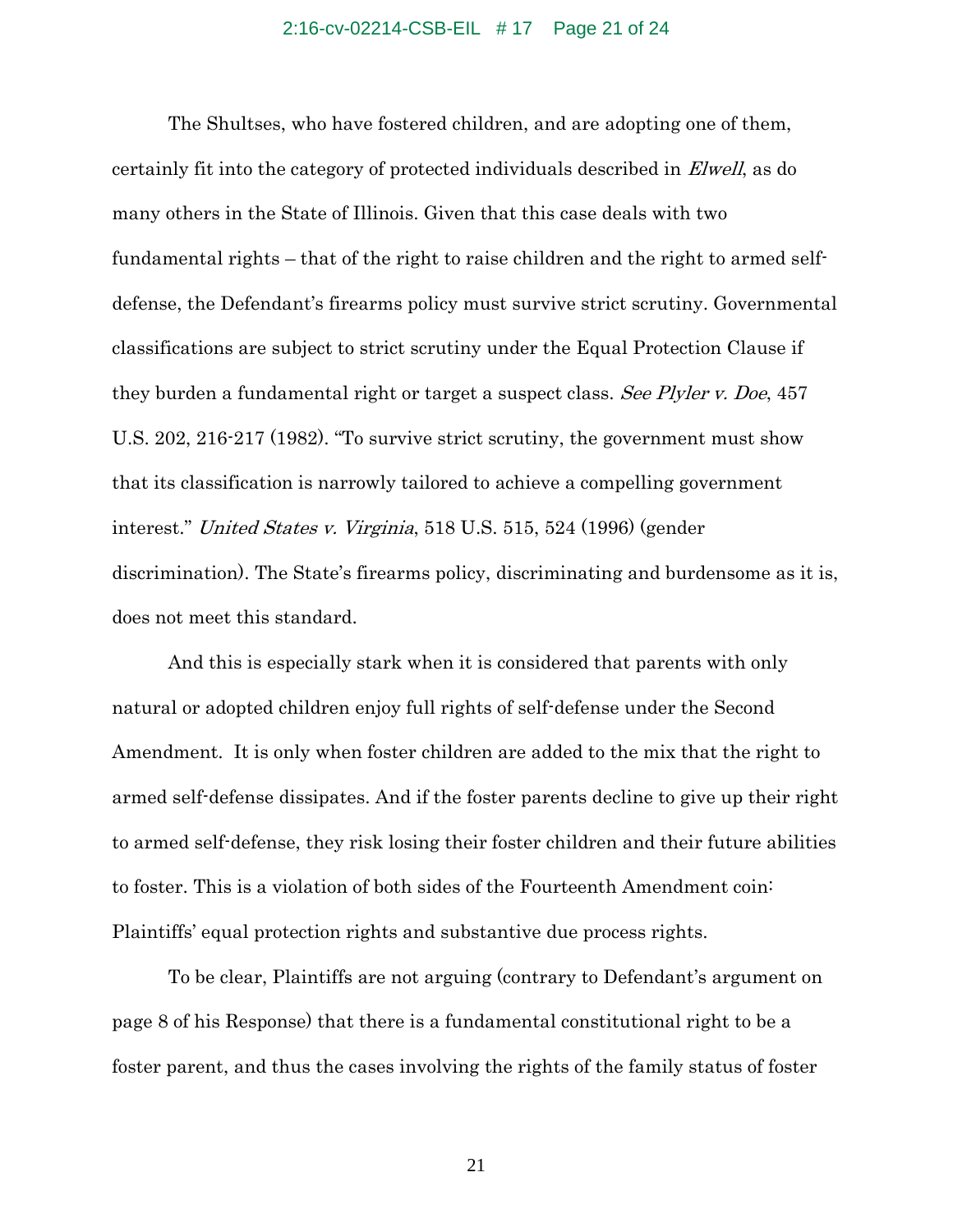### 2:16-cv-02214-CSB-EIL # 17 Page 21 of 24

The Shultses, who have fostered children, and are adopting one of them, certainly fit into the category of protected individuals described in Elwell, as do many others in the State of Illinois. Given that this case deals with two fundamental rights – that of the right to raise children and the right to armed selfdefense, the Defendant's firearms policy must survive strict scrutiny. Governmental classifications are subject to strict scrutiny under the Equal Protection Clause if they burden a fundamental right or target a suspect class. See Plyler v. Doe, 457 U.S. 202, 216-217 (1982). "To survive strict scrutiny, the government must show that its classification is narrowly tailored to achieve a compelling government interest." United States v. Virginia, 518 U.S. 515, 524 (1996) (gender discrimination). The State's firearms policy, discriminating and burdensome as it is, does not meet this standard.

And this is especially stark when it is considered that parents with only natural or adopted children enjoy full rights of self-defense under the Second Amendment. It is only when foster children are added to the mix that the right to armed self-defense dissipates. And if the foster parents decline to give up their right to armed self-defense, they risk losing their foster children and their future abilities to foster. This is a violation of both sides of the Fourteenth Amendment coin: Plaintiffs' equal protection rights and substantive due process rights.

To be clear, Plaintiffs are not arguing (contrary to Defendant's argument on page 8 of his Response) that there is a fundamental constitutional right to be a foster parent, and thus the cases involving the rights of the family status of foster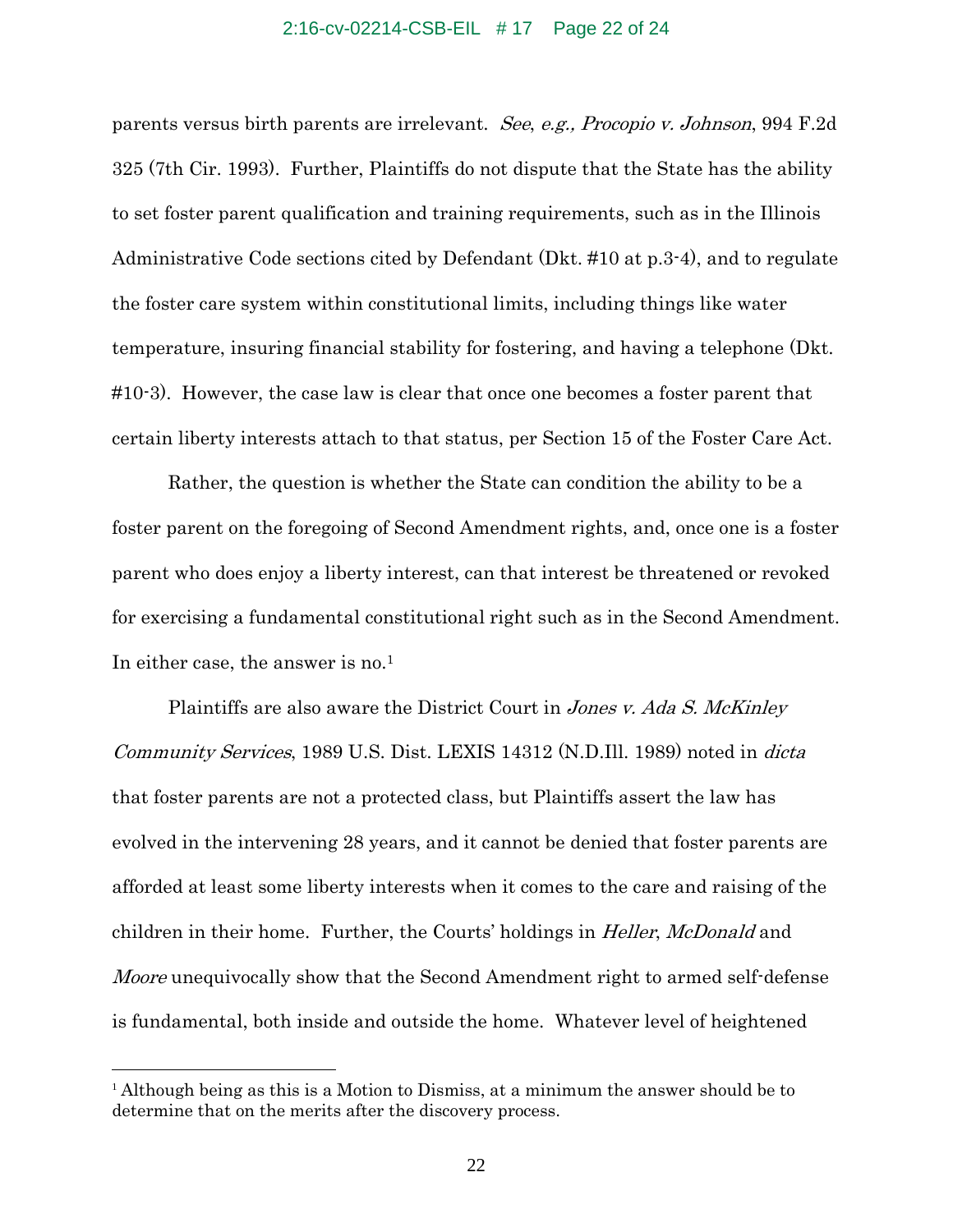### 2:16-cv-02214-CSB-EIL # 17 Page 22 of 24

parents versus birth parents are irrelevant. See, e.g., Procopio v. Johnson, 994 F.2d 325 (7th Cir. 1993). Further, Plaintiffs do not dispute that the State has the ability to set foster parent qualification and training requirements, such as in the Illinois Administrative Code sections cited by Defendant (Dkt. #10 at p.3-4), and to regulate the foster care system within constitutional limits, including things like water temperature, insuring financial stability for fostering, and having a telephone (Dkt. #10-3). However, the case law is clear that once one becomes a foster parent that certain liberty interests attach to that status, per Section 15 of the Foster Care Act.

Rather, the question is whether the State can condition the ability to be a foster parent on the foregoing of Second Amendment rights, and, once one is a foster parent who does enjoy a liberty interest, can that interest be threatened or revoked for exercising a fundamental constitutional right such as in the Second Amendment. In either case, the answer is no.<sup>1</sup>

Plaintiffs are also aware the District Court in *Jones v. Ada S. McKinley* Community Services, 1989 U.S. Dist. LEXIS 14312 (N.D.Ill. 1989) noted in dicta that foster parents are not a protected class, but Plaintiffs assert the law has evolved in the intervening 28 years, and it cannot be denied that foster parents are afforded at least some liberty interests when it comes to the care and raising of the children in their home. Further, the Courts' holdings in *Heller, McDonald* and Moore unequivocally show that the Second Amendment right to armed self-defense is fundamental, both inside and outside the home. Whatever level of heightened

 $\overline{a}$ 

 $1$  Although being as this is a Motion to Dismiss, at a minimum the answer should be to determine that on the merits after the discovery process.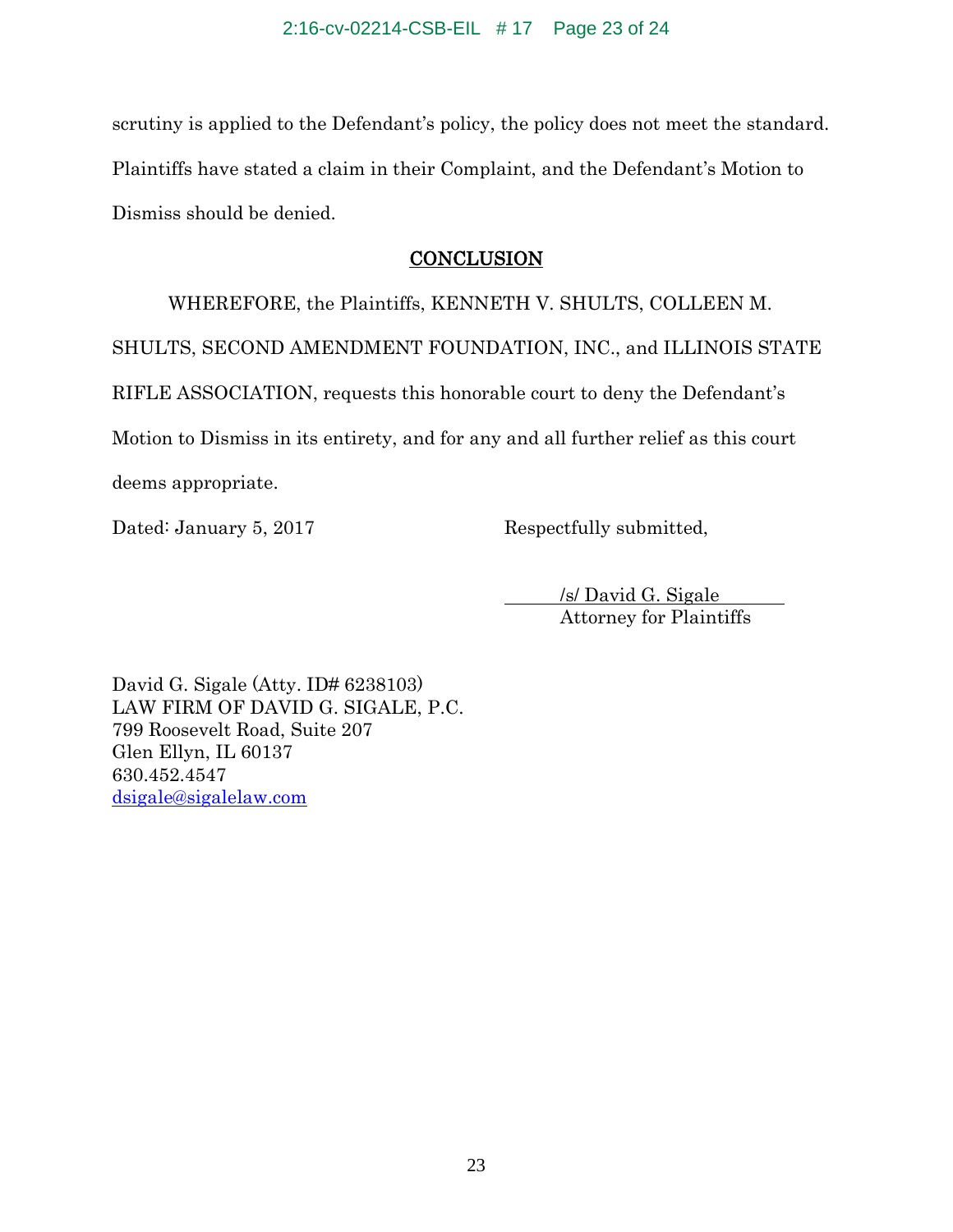scrutiny is applied to the Defendant's policy, the policy does not meet the standard. Plaintiffs have stated a claim in their Complaint, and the Defendant's Motion to Dismiss should be denied.

## **CONCLUSION**

WHEREFORE, the Plaintiffs, KENNETH V. SHULTS, COLLEEN M. SHULTS, SECOND AMENDMENT FOUNDATION, INC., and ILLINOIS STATE RIFLE ASSOCIATION, requests this honorable court to deny the Defendant's Motion to Dismiss in its entirety, and for any and all further relief as this court deems appropriate.

Dated: January 5, 2017 Respectfully submitted,

/s/ David G. Sigale Attorney for Plaintiffs

David G. Sigale (Atty. ID# 6238103) LAW FIRM OF DAVID G. SIGALE, P.C. 799 Roosevelt Road, Suite 207 Glen Ellyn, IL 60137 630.452.4547 dsigale@sigalelaw.com